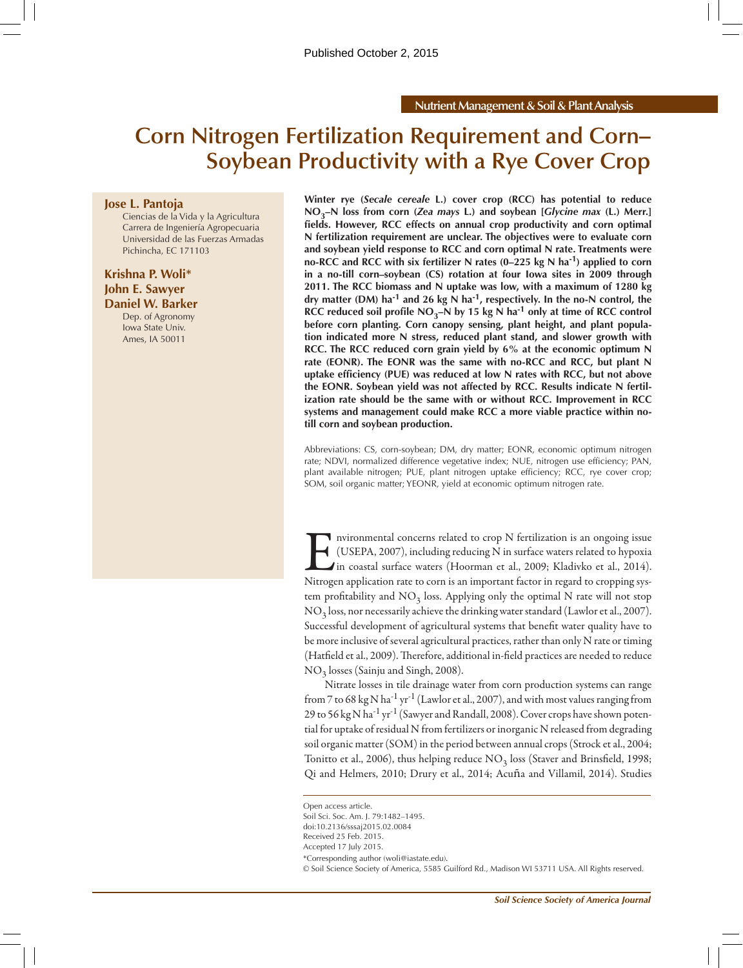# **Corn Nitrogen Fertilization Requirement and Corn– Soybean Productivity with a Rye Cover Crop**

#### **Jose L. Pantoja**

Ciencias de la Vida y la Agricultura Carrera de Ingeniería Agropecuaria Universidad de las Fuerzas Armadas Pichincha, EC 171103

# **Krishna P. Woli\* John E. Sawyer**

**Daniel W. Barker** Dep. of Agronomy Iowa State Univ. Ames, IA 50011

**Winter rye (***Secale cereale* **L.) cover crop (RCC) has potential to reduce NO3–N loss from corn (***Zea mays* **L.) and soybean [***Glycine max* **(L.) Merr.] fields. However, RCC effects on annual crop productivity and corn optimal N fertilization requirement are unclear. The objectives were to evaluate corn and soybean yield response to RCC and corn optimal N rate. Treatments were no-RCC and RCC with six fertilizer N rates (0–225 kg N ha-1) applied to corn in a no-till corn–soybean (CS) rotation at four Iowa sites in 2009 through 2011. The RCC biomass and N uptake was low, with a maximum of 1280 kg dry matter (DM) ha-1 and 26 kg N ha-1, respectively. In the no-N control, the RCC reduced soil profile NO<sub>3</sub>–N by 15 kg N ha<sup>-1</sup> only at time of RCC control before corn planting. Corn canopy sensing, plant height, and plant population indicated more N stress, reduced plant stand, and slower growth with RCC. The RCC reduced corn grain yield by 6% at the economic optimum N rate (EONR). The EONR was the same with no-RCC and RCC, but plant N uptake efficiency (PUE) was reduced at low N rates with RCC, but not above the EONR. Soybean yield was not affected by RCC. Results indicate N fertilization rate should be the same with or without RCC. Improvement in RCC systems and management could make RCC a more viable practice within notill corn and soybean production.**

Abbreviations: CS, corn-soybean; DM, dry matter; EONR, economic optimum nitrogen rate; NDVI, normalized difference vegetative index; NUE, nitrogen use efficiency; PAN, plant available nitrogen; PUE, plant nitrogen uptake efficiency; RCC, rye cover crop; SOM, soil organic matter; YEONR, yield at economic optimum nitrogen rate.

Interaction and concerns related to crop N fertilization is an ongoing issue<br>(USEPA, 2007), including reducing N in surface waters related to hypoxia<br>in coastal surface waters (Hoorman et al., 2009; Kladivko et al., 2014). (USEPA, 2007), including reducing N in surface waters related to hypoxia in coastal surface waters (Hoorman et al., 2009; Kladivko et al., 2014). Nitrogen application rate to corn is an important factor in regard to cropping system profitability and  $NO<sub>3</sub>$  loss. Applying only the optimal N rate will not stop  $NO<sub>3</sub>$  loss, nor necessarily achieve the drinking water standard (Lawlor et al., 2007). Successful development of agricultural systems that benefit water quality have to be more inclusive of several agricultural practices, rather than only N rate or timing (Hatfield et al., 2009). Therefore, additional in-field practices are needed to reduce NO3 losses (Sainju and Singh, 2008).

Nitrate losses in tile drainage water from corn production systems can range from 7 to 68 kg N ha<sup>-1</sup> yr<sup>-1</sup> (Lawlor et al., 2007), and with most values ranging from 29 to 56 kg N ha<sup>-1</sup> yr<sup>-1</sup> (Sawyer and Randall, 2008). Cover crops have shown potential for uptake of residual N from fertilizers or inorganic N released from degrading soil organic matter (SOM) in the period between annual crops (Strock et al., 2004; Tonitto et al., 2006), thus helping reduce  $NO<sub>3</sub>$  loss (Staver and Brinsfield, 1998; Qi and Helmers, 2010; Drury et al., 2014; Acuña and Villamil, 2014). Studies

Received 25 Feb. 2015. Accepted 17 July 2015.

© Soil Science Society of America, 5585 Guilford Rd., Madison WI 53711 USA. All Rights reserved.

Open access article.

Soil Sci. Soc. Am. J. 79:1482–1495.

doi:10.2136/sssaj2015.02.0084

<sup>\*</sup>Corresponding author (woli@iastate.edu).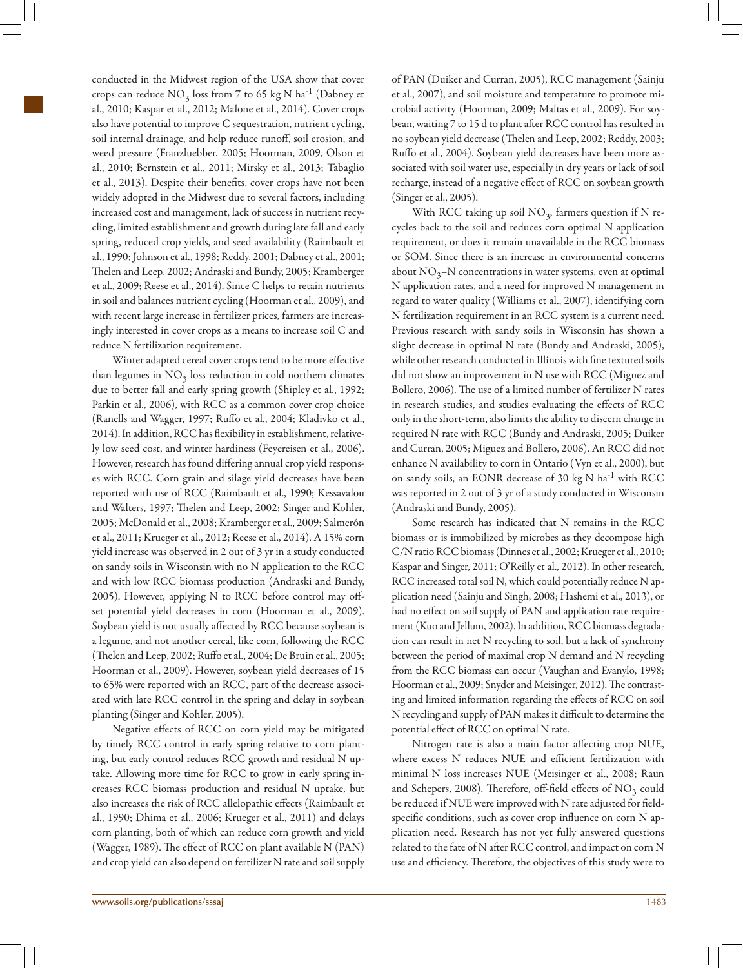conducted in the Midwest region of the USA show that cover crops can reduce  $NO_3$  loss from 7 to 65 kg N ha<sup>-1</sup> (Dabney et al., 2010; Kaspar et al., 2012; Malone et al., 2014). Cover crops also have potential to improve C sequestration, nutrient cycling, soil internal drainage, and help reduce runoff, soil erosion, and weed pressure (Franzluebber, 2005; Hoorman, 2009, Olson et al., 2010; Bernstein et al., 2011; Mirsky et al., 2013; Tabaglio et al., 2013). Despite their benefits, cover crops have not been widely adopted in the Midwest due to several factors, including increased cost and management, lack of success in nutrient recycling, limited establishment and growth during late fall and early spring, reduced crop yields, and seed availability (Raimbault et al., 1990; Johnson et al., 1998; Reddy, 2001; Dabney et al., 2001; Thelen and Leep, 2002; Andraski and Bundy, 2005; Kramberger et al., 2009; Reese et al., 2014). Since C helps to retain nutrients in soil and balances nutrient cycling (Hoorman et al., 2009), and with recent large increase in fertilizer prices, farmers are increasingly interested in cover crops as a means to increase soil C and reduce N fertilization requirement.

Winter adapted cereal cover crops tend to be more effective than legumes in  $NO<sub>3</sub>$  loss reduction in cold northern climates due to better fall and early spring growth (Shipley et al., 1992; Parkin et al., 2006), with RCC as a common cover crop choice (Ranells and Wagger, 1997; Ruffo et al., 2004; Kladivko et al., 2014). In addition, RCC has flexibility in establishment, relatively low seed cost, and winter hardiness (Feyereisen et al., 2006). However, research has found differing annual crop yield responses with RCC. Corn grain and silage yield decreases have been reported with use of RCC (Raimbault et al., 1990; Kessavalou and Walters, 1997; Thelen and Leep, 2002; Singer and Kohler, 2005; McDonald et al., 2008; Kramberger et al., 2009; Salmerón et al., 2011; Krueger et al., 2012; Reese et al., 2014). A 15% corn yield increase was observed in 2 out of 3 yr in a study conducted on sandy soils in Wisconsin with no N application to the RCC and with low RCC biomass production (Andraski and Bundy, 2005). However, applying N to RCC before control may offset potential yield decreases in corn (Hoorman et al., 2009). Soybean yield is not usually affected by RCC because soybean is a legume, and not another cereal, like corn, following the RCC (Thelen and Leep, 2002; Ruffo et al., 2004; De Bruin et al., 2005; Hoorman et al., 2009). However, soybean yield decreases of 15 to 65% were reported with an RCC, part of the decrease associated with late RCC control in the spring and delay in soybean planting (Singer and Kohler, 2005).

Negative effects of RCC on corn yield may be mitigated by timely RCC control in early spring relative to corn planting, but early control reduces RCC growth and residual N uptake. Allowing more time for RCC to grow in early spring increases RCC biomass production and residual N uptake, but also increases the risk of RCC allelopathic effects (Raimbault et al., 1990; Dhima et al., 2006; Krueger et al., 2011) and delays corn planting, both of which can reduce corn growth and yield (Wagger, 1989). The effect of RCC on plant available N (PAN) and crop yield can also depend on fertilizer N rate and soil supply

With RCC taking up soil  $NO<sub>3</sub>$ , farmers question if N recycles back to the soil and reduces corn optimal N application requirement, or does it remain unavailable in the RCC biomass or SOM. Since there is an increase in environmental concerns about  $NO_3-N$  concentrations in water systems, even at optimal N application rates, and a need for improved N management in regard to water quality (Williams et al., 2007), identifying corn N fertilization requirement in an RCC system is a current need. Previous research with sandy soils in Wisconsin has shown a slight decrease in optimal N rate (Bundy and Andraski, 2005), while other research conducted in Illinois with fine textured soils did not show an improvement in N use with RCC (Miguez and Bollero, 2006). The use of a limited number of fertilizer N rates in research studies, and studies evaluating the effects of RCC only in the short-term, also limits the ability to discern change in required N rate with RCC (Bundy and Andraski, 2005; Duiker and Curran, 2005; Miguez and Bollero, 2006). An RCC did not enhance N availability to corn in Ontario (Vyn et al., 2000), but on sandy soils, an EONR decrease of 30 kg N ha<sup>-1</sup> with RCC was reported in 2 out of 3 yr of a study conducted in Wisconsin (Andraski and Bundy, 2005).

Some research has indicated that N remains in the RCC biomass or is immobilized by microbes as they decompose high C/N ratio RCC biomass (Dinnes et al., 2002; Krueger et al., 2010; Kaspar and Singer, 2011; O'Reilly et al., 2012). In other research, RCC increased total soil N, which could potentially reduce N application need (Sainju and Singh, 2008; Hashemi et al., 2013), or had no effect on soil supply of PAN and application rate requirement (Kuo and Jellum, 2002). In addition, RCC biomass degradation can result in net N recycling to soil, but a lack of synchrony between the period of maximal crop N demand and N recycling from the RCC biomass can occur (Vaughan and Evanylo, 1998; Hoorman et al., 2009; Snyder and Meisinger, 2012). The contrasting and limited information regarding the effects of RCC on soil N recycling and supply of PAN makes it difficult to determine the potential effect of RCC on optimal N rate.

Nitrogen rate is also a main factor affecting crop NUE, where excess N reduces NUE and efficient fertilization with minimal N loss increases NUE (Meisinger et al., 2008; Raun and Schepers, 2008). Therefore, off-field effects of  $NO<sub>3</sub>$  could be reduced if NUE were improved with N rate adjusted for fieldspecific conditions, such as cover crop influence on corn N application need. Research has not yet fully answered questions related to the fate of N after RCC control, and impact on corn N use and efficiency. Therefore, the objectives of this study were to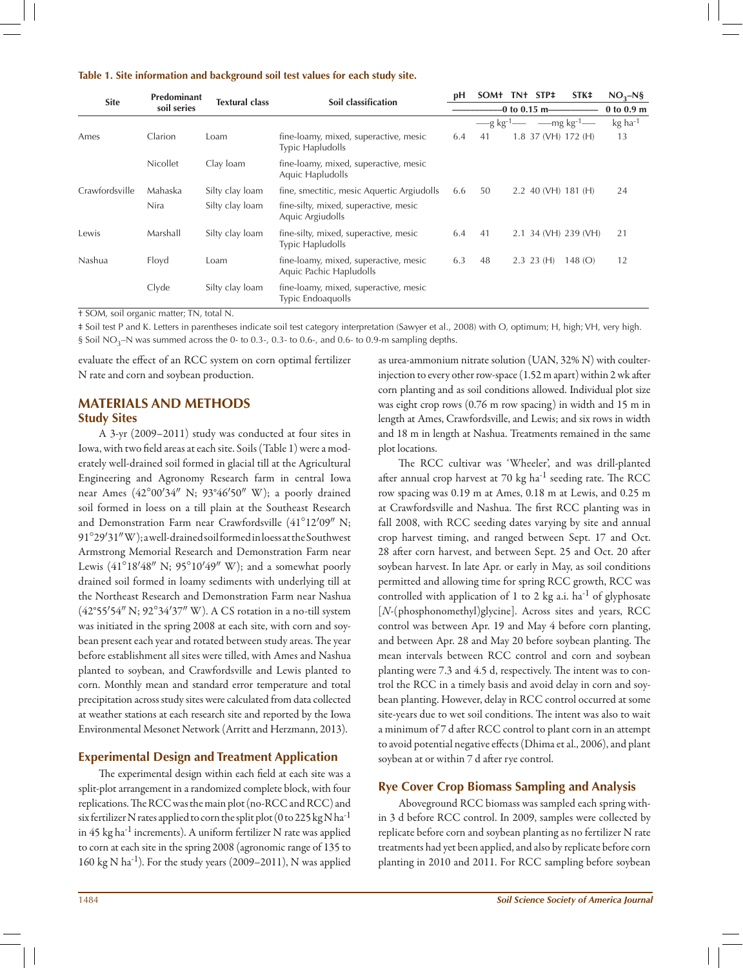#### **Table 1. Site information and background soil test values for each study site.**

| <b>Site</b>    | Predominant<br>soil series |                       |                                                                   | рH  | <b>SOM+</b>             |                 | TN+ STP‡     | STK <sup>#</sup>      | $NO3-N5$              |
|----------------|----------------------------|-----------------------|-------------------------------------------------------------------|-----|-------------------------|-----------------|--------------|-----------------------|-----------------------|
|                |                            | <b>Textural class</b> | Soil classification                                               |     |                         | $-0$ to 0.15 m- |              |                       | $0$ to $0.9$ m        |
|                |                            |                       |                                                                   |     | $-$ g kg <sup>-1.</sup> |                 |              | $-\text{mg kg-1}$     | $kg$ ha <sup>-1</sup> |
| Ames           | Clarion                    | Loam                  | fine-loamy, mixed, superactive, mesic<br><b>Typic Hapludolls</b>  | 6.4 | 41                      |                 |              | 1.8 37 (VH) 172 (H)   | 13                    |
|                | <b>Nicollet</b>            | Clay loam             | fine-loamy, mixed, superactive, mesic<br>Aquic Hapludolls         |     |                         |                 |              |                       |                       |
| Crawfordsville | Mahaska                    | Silty clay loam       | fine, smectitic, mesic Aquertic Argiudolls                        | 6.6 | 50                      |                 |              | $2.2$ 40 (VH) 181 (H) | 24                    |
|                | Nira                       | Silty clay loam       | fine-silty, mixed, superactive, mesic<br>Aquic Argiudolls         |     |                         |                 |              |                       |                       |
| Lewis          | Marshall                   | Silty clay loam       | fine-silty, mixed, superactive, mesic<br><b>Typic Hapludolls</b>  | 6.4 | 41                      |                 |              | 2.1 34 (VH) 239 (VH)  | 21                    |
| Nashua         | Floyd                      | Loam                  | fine-loamy, mixed, superactive, mesic<br>Aquic Pachic Hapludolls  | 6.3 | 48                      |                 | $2.3$ 23 (H) | 148(O)                | 12                    |
|                | Clyde                      | Silty clay loam       | fine-loamy, mixed, superactive, mesic<br><b>Typic Endoaquolls</b> |     |                         |                 |              |                       |                       |

† SOM, soil organic matter; TN, total N.

‡ Soil test P and K. Letters in parentheses indicate soil test category interpretation (Sawyer et al., 2008) with O, optimum; H, high; VH, very high. § Soil NO<sub>3</sub>-N was summed across the 0- to 0.3-, 0.3- to 0.6-, and 0.6- to 0.9-m sampling depths.

evaluate the effect of an RCC system on corn optimal fertilizer N rate and corn and soybean production.

# **MATERIALS AND METHODS Study Sites**

A 3-yr (2009–2011) study was conducted at four sites in Iowa, with two field areas at each site. Soils (Table 1) were a moderately well-drained soil formed in glacial till at the Agricultural Engineering and Agronomy Research farm in central Iowa near Ames  $(42^{\circ}00'34''$  N;  $93^{\circ}46'50''$  W); a poorly drained soil formed in loess on a till plain at the Southeast Research and Demonstration Farm near Crawfordsville (41°12'09" N; 91°29¢31² W); a well-drained soil formed in loess at the Southwest Armstrong Memorial Research and Demonstration Farm near Lewis (41°18′48" N; 95°10′49" W); and a somewhat poorly drained soil formed in loamy sediments with underlying till at the Northeast Research and Demonstration Farm near Nashua (42°55′54″ N;  $92°34'37''$  W). A CS rotation in a no-till system was initiated in the spring 2008 at each site, with corn and soybean present each year and rotated between study areas. The year before establishment all sites were tilled, with Ames and Nashua planted to soybean, and Crawfordsville and Lewis planted to corn. Monthly mean and standard error temperature and total precipitation across study sites were calculated from data collected at weather stations at each research site and reported by the Iowa Environmental Mesonet Network (Arritt and Herzmann, 2013).

## **Experimental Design and Treatment Application**

The experimental design within each field at each site was a split-plot arrangement in a randomized complete block, with four replications. The RCC was the main plot (no-RCC and RCC) and six fertilizer N rates applied to corn the split plot (0 to 225 kg N ha<sup>-1</sup> in 45 kg ha<sup>-1</sup> increments). A uniform fertilizer N rate was applied to corn at each site in the spring 2008 (agronomic range of 135 to 160 kg N ha<sup>-1</sup>). For the study years (2009–2011), N was applied as urea-ammonium nitrate solution (UAN, 32% N) with coulterinjection to every other row-space (1.52 m apart) within 2 wk after corn planting and as soil conditions allowed. Individual plot size was eight crop rows (0.76 m row spacing) in width and 15 m in length at Ames, Crawfordsville, and Lewis; and six rows in width and 18 m in length at Nashua. Treatments remained in the same plot locations.

The RCC cultivar was 'Wheeler', and was drill-planted after annual crop harvest at 70 kg ha<sup>-1</sup> seeding rate. The RCC row spacing was 0.19 m at Ames, 0.18 m at Lewis, and 0.25 m at Crawfordsville and Nashua. The first RCC planting was in fall 2008, with RCC seeding dates varying by site and annual crop harvest timing, and ranged between Sept. 17 and Oct. 28 after corn harvest, and between Sept. 25 and Oct. 20 after soybean harvest. In late Apr. or early in May, as soil conditions permitted and allowing time for spring RCC growth, RCC was controlled with application of 1 to 2 kg a.i.  $ha^{-1}$  of glyphosate [*N*-(phosphonomethyl)glycine]. Across sites and years, RCC control was between Apr. 19 and May 4 before corn planting, and between Apr. 28 and May 20 before soybean planting. The mean intervals between RCC control and corn and soybean planting were 7.3 and 4.5 d, respectively. The intent was to control the RCC in a timely basis and avoid delay in corn and soybean planting. However, delay in RCC control occurred at some site-years due to wet soil conditions. The intent was also to wait a minimum of 7 d after RCC control to plant corn in an attempt to avoid potential negative effects (Dhima et al., 2006), and plant soybean at or within 7 d after rye control.

#### **Rye Cover Crop Biomass Sampling and Analysis**

Aboveground RCC biomass was sampled each spring within 3 d before RCC control. In 2009, samples were collected by replicate before corn and soybean planting as no fertilizer N rate treatments had yet been applied, and also by replicate before corn planting in 2010 and 2011. For RCC sampling before soybean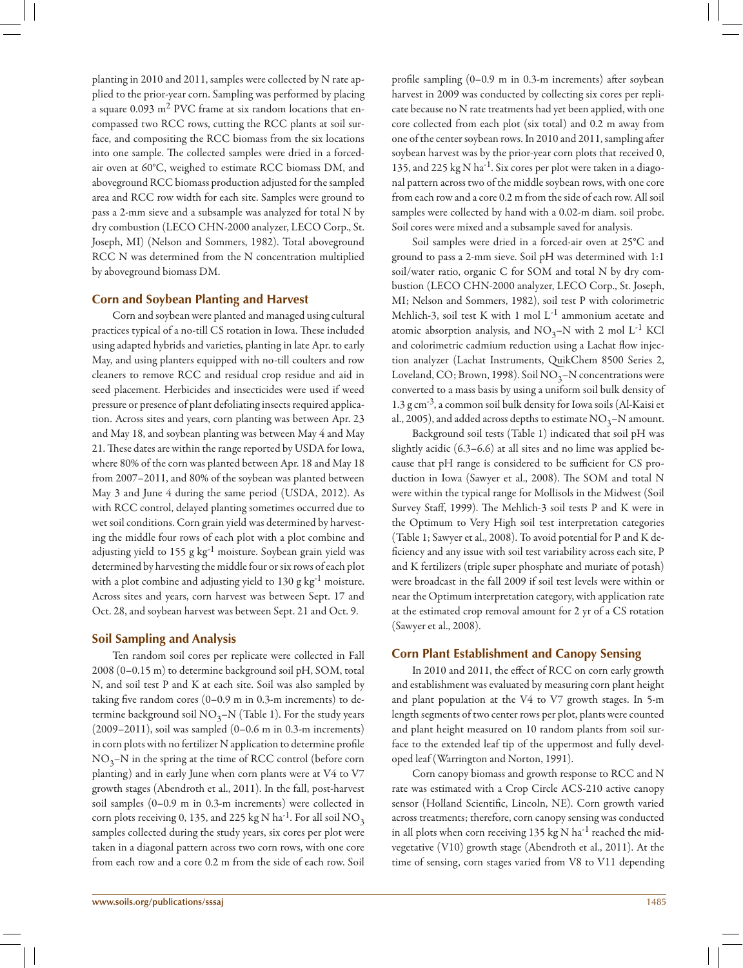planting in 2010 and 2011, samples were collected by N rate applied to the prior-year corn. Sampling was performed by placing a square  $0.093 \text{ m}^2$  PVC frame at six random locations that encompassed two RCC rows, cutting the RCC plants at soil surface, and compositing the RCC biomass from the six locations into one sample. The collected samples were dried in a forcedair oven at 60°C, weighed to estimate RCC biomass DM, and aboveground RCC biomass production adjusted for the sampled area and RCC row width for each site. Samples were ground to pass a 2-mm sieve and a subsample was analyzed for total N by dry combustion (LECO CHN-2000 analyzer, LECO Corp., St. Joseph, MI) (Nelson and Sommers, 1982). Total aboveground RCC N was determined from the N concentration multiplied by aboveground biomass DM.

## **Corn and Soybean Planting and Harvest**

Corn and soybean were planted and managed using cultural practices typical of a no-till CS rotation in Iowa. These included using adapted hybrids and varieties, planting in late Apr. to early May, and using planters equipped with no-till coulters and row cleaners to remove RCC and residual crop residue and aid in seed placement. Herbicides and insecticides were used if weed pressure or presence of plant defoliating insects required application. Across sites and years, corn planting was between Apr. 23 and May 18, and soybean planting was between May 4 and May 21. These dates are within the range reported by USDA for Iowa, where 80% of the corn was planted between Apr. 18 and May 18 from 2007–2011, and 80% of the soybean was planted between May 3 and June 4 during the same period (USDA, 2012). As with RCC control, delayed planting sometimes occurred due to wet soil conditions. Corn grain yield was determined by harvesting the middle four rows of each plot with a plot combine and adjusting yield to 155 g  $kg^{-1}$  moisture. Soybean grain yield was determined by harvesting the middle four or six rows of each plot with a plot combine and adjusting yield to  $130 \text{ g kg}^{-1}$  moisture. Across sites and years, corn harvest was between Sept. 17 and Oct. 28, and soybean harvest was between Sept. 21 and Oct. 9.

## **Soil Sampling and Analysis**

Ten random soil cores per replicate were collected in Fall 2008 (0–0.15 m) to determine background soil pH, SOM, total N, and soil test P and K at each site. Soil was also sampled by taking five random cores (0–0.9 m in 0.3-m increments) to determine background soil  $NO_3-N$  (Table 1). For the study years (2009–2011), soil was sampled (0–0.6 m in 0.3-m increments) in corn plots with no fertilizer N application to determine profile  $NO_3-N$  in the spring at the time of RCC control (before corn planting) and in early June when corn plants were at V4 to V7 growth stages (Abendroth et al., 2011). In the fall, post-harvest soil samples (0–0.9 m in 0.3-m increments) were collected in corn plots receiving 0, 135, and 225 kg N ha<sup>-1</sup>. For all soil NO<sub>3</sub> samples collected during the study years, six cores per plot were taken in a diagonal pattern across two corn rows, with one core from each row and a core 0.2 m from the side of each row. Soil

profile sampling (0–0.9 m in 0.3-m increments) after soybean harvest in 2009 was conducted by collecting six cores per replicate because no N rate treatments had yet been applied, with one core collected from each plot (six total) and 0.2 m away from one of the center soybean rows. In 2010 and 2011, sampling after soybean harvest was by the prior-year corn plots that received 0, 135, and 225 kg N ha<sup>-1</sup>. Six cores per plot were taken in a diagonal pattern across two of the middle soybean rows, with one core from each row and a core 0.2 m from the side of each row. All soil samples were collected by hand with a 0.02-m diam. soil probe. Soil cores were mixed and a subsample saved for analysis.

Soil samples were dried in a forced-air oven at 25°C and ground to pass a 2-mm sieve. Soil pH was determined with 1:1 soil/water ratio, organic C for SOM and total N by dry combustion (LECO CHN-2000 analyzer, LECO Corp., St. Joseph, MI; Nelson and Sommers, 1982), soil test P with colorimetric Mehlich-3, soil test K with 1 mol  $L^{-1}$  ammonium acetate and atomic absorption analysis, and  $NO_3-N$  with 2 mol L<sup>-1</sup> KCl and colorimetric cadmium reduction using a Lachat flow injection analyzer (Lachat Instruments, QuikChem 8500 Series 2, Loveland, CO; Brown, 1998). Soil  $NO_3-N$  concentrations were converted to a mass basis by using a uniform soil bulk density of 1.3  $\rm g$  cm<sup>-3</sup>, a common soil bulk density for Iowa soils (Al-Kaisi et al., 2005), and added across depths to estimate  $NO<sub>3</sub>–N$  amount.

Background soil tests (Table 1) indicated that soil pH was slightly acidic (6.3–6.6) at all sites and no lime was applied because that pH range is considered to be sufficient for CS production in Iowa (Sawyer et al., 2008). The SOM and total N were within the typical range for Mollisols in the Midwest (Soil Survey Staff, 1999). The Mehlich-3 soil tests P and K were in the Optimum to Very High soil test interpretation categories (Table 1; Sawyer et al., 2008). To avoid potential for P and K deficiency and any issue with soil test variability across each site, P and K fertilizers (triple super phosphate and muriate of potash) were broadcast in the fall 2009 if soil test levels were within or near the Optimum interpretation category, with application rate at the estimated crop removal amount for 2 yr of a CS rotation (Sawyer et al., 2008).

## **Corn Plant Establishment and Canopy Sensing**

In 2010 and 2011, the effect of RCC on corn early growth and establishment was evaluated by measuring corn plant height and plant population at the V4 to V7 growth stages. In 5-m length segments of two center rows per plot, plants were counted and plant height measured on 10 random plants from soil surface to the extended leaf tip of the uppermost and fully developed leaf (Warrington and Norton, 1991).

Corn canopy biomass and growth response to RCC and N rate was estimated with a Crop Circle ACS-210 active canopy sensor (Holland Scientific, Lincoln, NE). Corn growth varied across treatments; therefore, corn canopy sensing was conducted in all plots when corn receiving 135 kg N ha<sup>-1</sup> reached the midvegetative (V10) growth stage (Abendroth et al., 2011). At the time of sensing, corn stages varied from V8 to V11 depending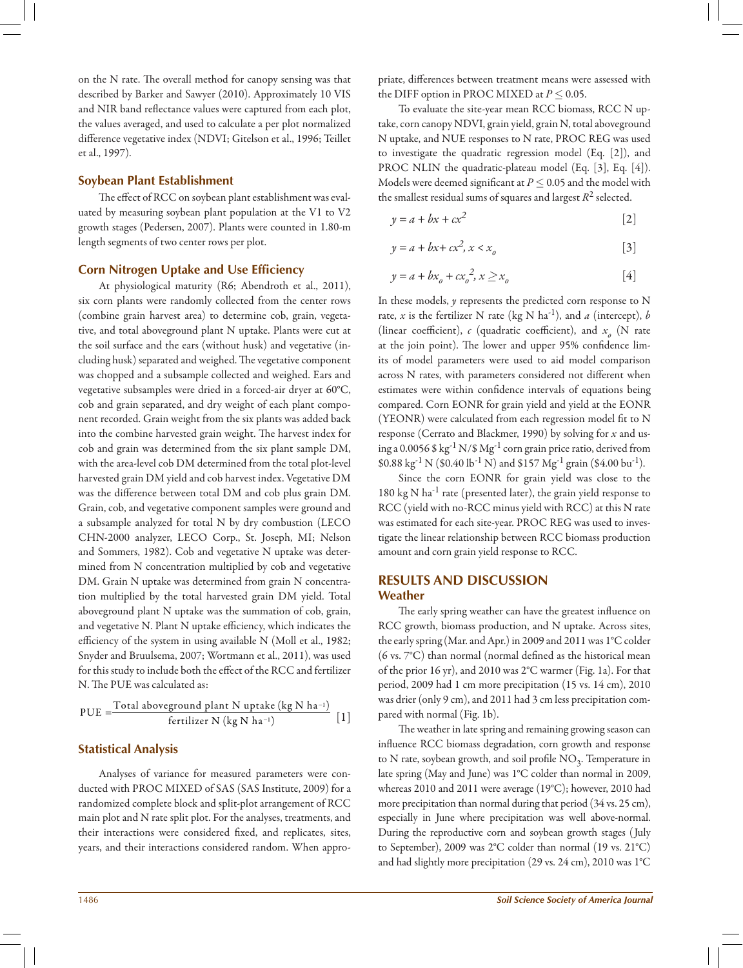on the N rate. The overall method for canopy sensing was that described by Barker and Sawyer (2010). Approximately 10 VIS and NIR band reflectance values were captured from each plot, the values averaged, and used to calculate a per plot normalized difference vegetative index (NDVI; Gitelson et al., 1996; Teillet et al., 1997).

## **Soybean Plant Establishment**

The effect of RCC on soybean plant establishment was evaluated by measuring soybean plant population at the V1 to V2 growth stages (Pedersen, 2007). Plants were counted in 1.80-m length segments of two center rows per plot.

## **Corn Nitrogen Uptake and Use Efficiency**

At physiological maturity (R6; Abendroth et al., 2011), six corn plants were randomly collected from the center rows (combine grain harvest area) to determine cob, grain, vegetative, and total aboveground plant N uptake. Plants were cut at the soil surface and the ears (without husk) and vegetative (including husk) separated and weighed. The vegetative component was chopped and a subsample collected and weighed. Ears and vegetative subsamples were dried in a forced-air dryer at 60°C, cob and grain separated, and dry weight of each plant component recorded. Grain weight from the six plants was added back into the combine harvested grain weight. The harvest index for cob and grain was determined from the six plant sample DM, with the area-level cob DM determined from the total plot-level harvested grain DM yield and cob harvest index. Vegetative DM was the difference between total DM and cob plus grain DM. Grain, cob, and vegetative component samples were ground and a subsample analyzed for total N by dry combustion (LECO CHN-2000 analyzer, LECO Corp., St. Joseph, MI; Nelson and Sommers, 1982). Cob and vegetative N uptake was determined from N concentration multiplied by cob and vegetative DM. Grain N uptake was determined from grain N concentration multiplied by the total harvested grain DM yield. Total aboveground plant N uptake was the summation of cob, grain, and vegetative N. Plant N uptake efficiency, which indicates the efficiency of the system in using available N (Moll et al., 1982; Snyder and Bruulsema, 2007; Wortmann et al., 2011), was used for this study to include both the effect of the RCC and fertilizer N. The PUE was calculated as:

$$
PUE = \frac{Total\ aboveground\ plant\ N\ uptake\ (kg\ N\ ha^{-1})}{fertilizer\ N\ (kg\ N\ ha^{-1})} [1]
$$

## **Statistical Analysis**

Analyses of variance for measured parameters were conducted with PROC MIXED of SAS (SAS Institute, 2009) for a randomized complete block and split-plot arrangement of RCC main plot and N rate split plot. For the analyses, treatments, and their interactions were considered fixed, and replicates, sites, years, and their interactions considered random. When appropriate, differences between treatment means were assessed with the DIFF option in PROC MIXED at  $P \leq 0.05$ .

To evaluate the site-year mean RCC biomass, RCC N uptake, corn canopy NDVI, grain yield, grain N, total aboveground N uptake, and NUE responses to N rate, PROC REG was used to investigate the quadratic regression model (Eq. [2]), and PROC NLIN the quadratic-plateau model (Eq. [3], Eq. [4]). Models were deemed significant at  $P \leq 0.05$  and the model with the smallest residual sums of squares and largest  $R^2$  selected.

$$
y = a + bx + cx^2 \tag{2}
$$

$$
y = a + bx + cx^2, x < x_o \tag{3}
$$

$$
y = a + bx_o + cx_o^2, x \ge x_o
$$
 [4]

In these models, *y* represents the predicted corn response to N rate, *x* is the fertilizer N rate (kg N ha<sup>-1</sup>), and *a* (intercept), *b* (linear coefficient),  $c$  (quadratic coefficient), and  $x<sub>o</sub>$  (N rate at the join point). The lower and upper 95% confidence limits of model parameters were used to aid model comparison across N rates, with parameters considered not different when estimates were within confidence intervals of equations being compared. Corn EONR for grain yield and yield at the EONR (YEONR) were calculated from each regression model fit to N response (Cerrato and Blackmer, 1990) by solving for *x* and using a 0.0056 \$  $\text{kg}^{-1} \text{N}$ /\$  $\text{Mg}^{-1}$  corn grain price ratio, derived from \$0.88 kg<sup>-1</sup> N (\$0.40 lb<sup>-1</sup> N) and \$157 Mg<sup>-1</sup> grain (\$4.00 bu<sup>-1</sup>).

Since the corn EONR for grain yield was close to the  $180 \text{ kg N}$  ha<sup>-1</sup> rate (presented later), the grain yield response to RCC (yield with no-RCC minus yield with RCC) at this N rate was estimated for each site-year. PROC REG was used to investigate the linear relationship between RCC biomass production amount and corn grain yield response to RCC.

## **RESULTS AND DISCUSSION Weather**

The early spring weather can have the greatest influence on RCC growth, biomass production, and N uptake. Across sites, the early spring (Mar. and Apr.) in 2009 and 2011 was 1°C colder (6 vs. 7°C) than normal (normal defined as the historical mean of the prior 16 yr), and 2010 was 2°C warmer (Fig. 1a). For that period, 2009 had 1 cm more precipitation (15 vs. 14 cm), 2010 was drier (only 9 cm), and 2011 had 3 cm less precipitation compared with normal (Fig. 1b).

The weather in late spring and remaining growing season can influence RCC biomass degradation, corn growth and response to N rate, soybean growth, and soil profile  $NO<sub>3</sub>$ . Temperature in late spring (May and June) was 1°C colder than normal in 2009, whereas 2010 and 2011 were average (19°C); however, 2010 had more precipitation than normal during that period (34 vs. 25 cm), especially in June where precipitation was well above-normal. During the reproductive corn and soybean growth stages (July to September), 2009 was 2°C colder than normal (19 vs. 21°C) and had slightly more precipitation (29 vs. 24 cm), 2010 was 1°C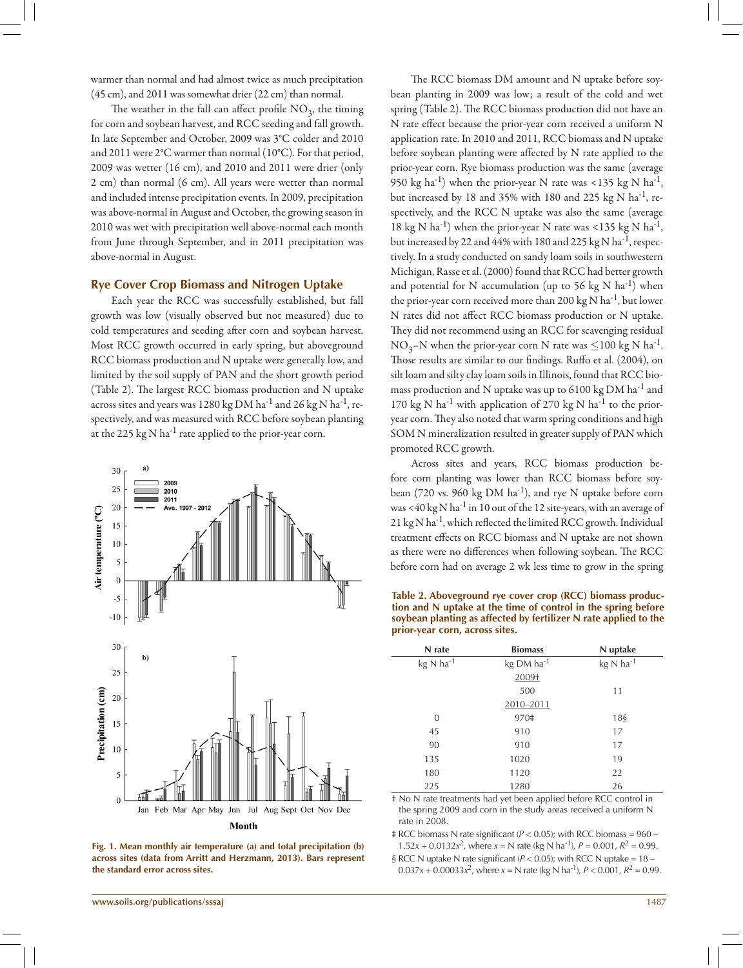warmer than normal and had almost twice as much precipitation (45 cm), and 2011 was somewhat drier (22 cm) than normal.

The weather in the fall can affect profile  $NO<sub>3</sub>$ , the timing for corn and soybean harvest, and RCC seeding and fall growth. In late September and October, 2009 was 3°C colder and 2010 and 2011 were 2°C warmer than normal (10°C). For that period, 2009 was wetter (16 cm), and 2010 and 2011 were drier (only 2 cm) than normal (6 cm). All years were wetter than normal and included intense precipitation events. In 2009, precipitation was above-normal in August and October, the growing season in 2010 was wet with precipitation well above-normal each month from June through September, and in 2011 precipitation was above-normal in August.

#### **Rye Cover Crop Biomass and Nitrogen Uptake**

Each year the RCC was successfully established, but fall growth was low (visually observed but not measured) due to cold temperatures and seeding after corn and soybean harvest. Most RCC growth occurred in early spring, but aboveground RCC biomass production and N uptake were generally low, and limited by the soil supply of PAN and the short growth period (Table 2). The largest RCC biomass production and N uptake across sites and years was 1280 kg DM ha<sup>-1</sup> and 26 kg N ha<sup>-1</sup>, respectively, and was measured with RCC before soybean planting at the 225 kg N ha<sup>-1</sup> rate applied to the prior-year corn.





The RCC biomass DM amount and N uptake before soybean planting in 2009 was low; a result of the cold and wet spring (Table 2). The RCC biomass production did not have an N rate effect because the prior-year corn received a uniform N application rate. In 2010 and 2011, RCC biomass and N uptake before soybean planting were affected by N rate applied to the prior-year corn. Rye biomass production was the same (average 950 kg ha<sup>-1</sup>) when the prior-year N rate was <135 kg N ha<sup>-1</sup>, but increased by 18 and 35% with 180 and 225 kg N  $\text{ha}^{-1}$ , respectively, and the RCC N uptake was also the same (average 18 kg N ha<sup>-1</sup>) when the prior-year N rate was <135 kg N ha<sup>-1</sup>, but increased by 22 and 44% with 180 and 225 kg N ha<sup>-1</sup>, respectively. In a study conducted on sandy loam soils in southwestern Michigan, Rasse et al. (2000) found that RCC had better growth and potential for N accumulation (up to 56 kg N  $\text{ha}^{-1}$ ) when the prior-year corn received more than 200 kg N ha<sup>-1</sup>, but lower N rates did not affect RCC biomass production or N uptake. They did not recommend using an RCC for scavenging residual  $NO_3-N$  when the prior-year corn N rate was  $\leq$ 100 kg N ha<sup>-1</sup>. Those results are similar to our findings. Ruffo et al. (2004), on silt loam and silty clay loam soils in Illinois, found that RCC biomass production and N uptake was up to 6100 kg DM ha<sup>-1</sup> and 170 kg N ha<sup>-1</sup> with application of 270 kg N ha<sup>-1</sup> to the prioryear corn. They also noted that warm spring conditions and high SOM N mineralization resulted in greater supply of PAN which promoted RCC growth.

Across sites and years, RCC biomass production before corn planting was lower than RCC biomass before soybean (720 vs. 960 kg DM  $ha^{-1}$ ), and rye N uptake before corn was <40 kg N ha<sup>-1</sup> in 10 out of the 12 site-years, with an average of 21 kg N ha<sup>-1</sup>, which reflected the limited RCC growth. Individual treatment effects on RCC biomass and N uptake are not shown as there were no differences when following soybean. The RCC before corn had on average 2 wk less time to grow in the spring

**Table 2. Aboveground rye cover crop (RCC) biomass production and N uptake at the time of control in the spring before soybean planting as affected by fertilizer N rate applied to the prior-year corn, across sites.**

| N rate                          | <b>Biomass</b>         | N uptake  |
|---------------------------------|------------------------|-----------|
| $kg \text{ N}$ ha <sup>-1</sup> | kg DM ha <sup>-1</sup> | kg N ha-1 |
|                                 | 2009+                  |           |
|                                 | 500                    | 11        |
|                                 | 2010-2011              |           |
| $\overline{0}$                  | 970‡                   | 18\$      |
| 45                              | 910                    | 17        |
| 90                              | 910                    | 17        |
| 135                             | 1020                   | 19        |
| 180                             | 1120                   | 22        |
| 225                             | 1280                   | 26        |

† No N rate treatments had yet been applied before RCC control in the spring 2009 and corn in the study areas received a uniform N rate in 2008.

 $\pm$  RCC biomass N rate significant ( $P < 0.05$ ); with RCC biomass = 960 – 1.52*x* + 0.0132*x*<sup>2</sup>, where *x* = N rate (kg N ha<sup>-1</sup>), *P* = 0.001,  $R^2$  = 0.99.

§ RCC N uptake N rate significant ( $P < 0.05$ ); with RCC N uptake = 18 - $0.037x + 0.00033x^2$ , where  $x = N$  rate (kg N ha<sup>-1</sup>),  $P < 0.001$ ,  $R^2 = 0.99$ .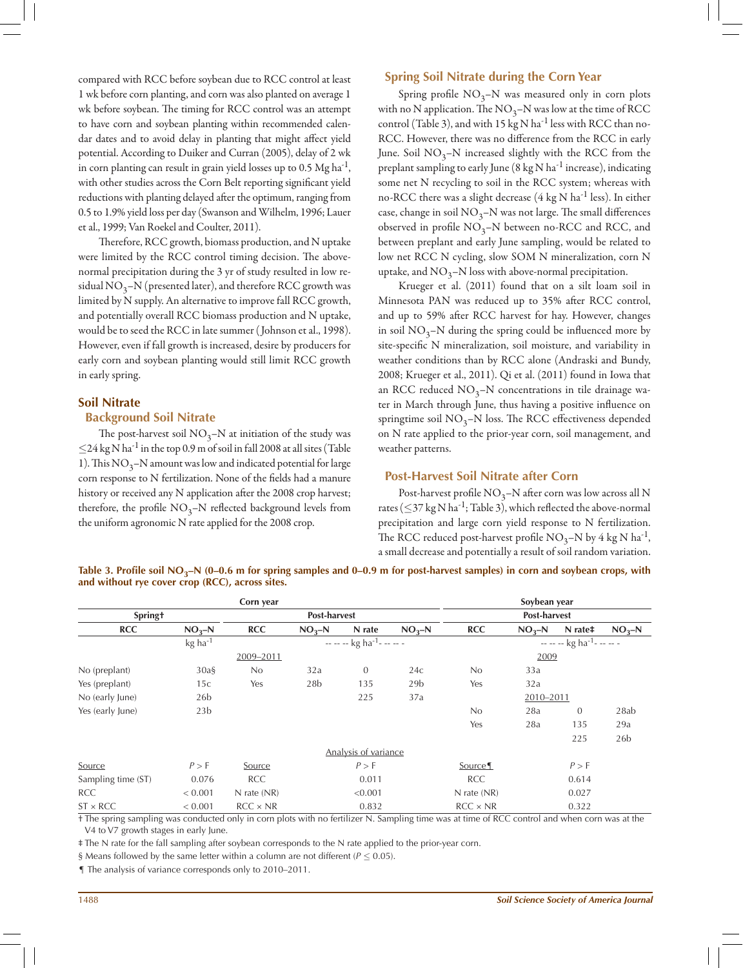compared with RCC before soybean due to RCC control at least 1 wk before corn planting, and corn was also planted on average 1 wk before soybean. The timing for RCC control was an attempt to have corn and soybean planting within recommended calendar dates and to avoid delay in planting that might affect yield potential. According to Duiker and Curran (2005), delay of 2 wk in corn planting can result in grain yield losses up to 0.5  $Mg$  ha<sup>-1</sup>, with other studies across the Corn Belt reporting significant yield reductions with planting delayed after the optimum, ranging from 0.5 to 1.9% yield loss per day (Swanson and Wilhelm, 1996; Lauer et al., 1999; Van Roekel and Coulter, 2011).

Therefore, RCC growth, biomass production, and N uptake were limited by the RCC control timing decision. The abovenormal precipitation during the 3 yr of study resulted in low residual  $NO_3-N$  (presented later), and therefore RCC growth was limited by N supply. An alternative to improve fall RCC growth, and potentially overall RCC biomass production and N uptake, would be to seed the RCC in late summer ( Johnson et al., 1998). However, even if fall growth is increased, desire by producers for early corn and soybean planting would still limit RCC growth in early spring.

#### **Soil Nitrate**

#### **Background Soil Nitrate**

The post-harvest soil  $NO_3-N$  at initiation of the study was  $\leq$ 24 kg N ha<sup>-1</sup> in the top 0.9 m of soil in fall 2008 at all sites (Table 1). This  $NO_3$ –N amount was low and indicated potential for large corn response to N fertilization. None of the fields had a manure history or received any N application after the 2008 crop harvest; therefore, the profile  $NO_3-N$  reflected background levels from the uniform agronomic N rate applied for the 2008 crop.

## **Spring Soil Nitrate during the Corn Year**

Spring profile  $NO_3-N$  was measured only in corn plots with no N application. The  $NO_3-N$  was low at the time of RCC control (Table 3), and with 15 kg N ha<sup>-1</sup> less with RCC than no-RCC. However, there was no difference from the RCC in early June. Soil  $NO<sub>3</sub>–N$  increased slightly with the RCC from the preplant sampling to early June  $(8 \text{ kg N ha}^{-1})$  increase), indicating some net N recycling to soil in the RCC system; whereas with no-RCC there was a slight decrease  $(4 \text{ kg N ha}^{-1} \text{ less})$ . In either case, change in soil  $NO<sub>3</sub>–N$  was not large. The small differences observed in profile  $NO_3-N$  between no-RCC and RCC, and between preplant and early June sampling, would be related to low net RCC N cycling, slow SOM N mineralization, corn N uptake, and  $NO_3-N$  loss with above-normal precipitation.

Krueger et al. (2011) found that on a silt loam soil in Minnesota PAN was reduced up to 35% after RCC control, and up to 59% after RCC harvest for hay. However, changes in soil  $NO_3$ –N during the spring could be influenced more by site-specific N mineralization, soil moisture, and variability in weather conditions than by RCC alone (Andraski and Bundy, 2008; Krueger et al., 2011). Qi et al. (2011) found in Iowa that an RCC reduced  $NO_3-N$  concentrations in tile drainage water in March through June, thus having a positive influence on springtime soil  $NO_3-N$  loss. The RCC effectiveness depended on N rate applied to the prior-year corn, soil management, and weather patterns.

#### **Post-Harvest Soil Nitrate after Corn**

Post-harvest profile  $NO_3-N$  after corn was low across all N rates ( $\leq$ 37 kg N ha<sup>-1</sup>; Table 3), which reflected the above-normal precipitation and large corn yield response to N fertilization. The RCC reduced post-harvest profile  $NO_3-N$  by 4 kg N ha<sup>-1</sup>, a small decrease and potentially a result of soil random variation.

Table 3. Profile soil NO<sub>3</sub>–N (0–0.6 m for spring samples and 0–0.9 m for post-harvest samples) in corn and soybean crops, with **and without rye cover crop (RCC), across sites.**

| Corn year          |                 |                 |                 |                                    |                 |                 | Soybean year |                                     |                 |  |  |  |
|--------------------|-----------------|-----------------|-----------------|------------------------------------|-----------------|-----------------|--------------|-------------------------------------|-----------------|--|--|--|
| <b>Springt</b>     | Post-harvest    |                 |                 |                                    | Post-harvest    |                 |              |                                     |                 |  |  |  |
| <b>RCC</b>         | $NO2-N$         | <b>RCC</b>      | $NO2-N$         | N rate                             | $NO2-N$         | <b>RCC</b>      | $NO2-N$      | N rate <sup>#</sup>                 | $NO3-N$         |  |  |  |
|                    | kg ha-1         |                 |                 | $-  -$ kg ha <sup>-1</sup> - $  -$ |                 |                 |              | $---$ kg ha <sup>-1</sup> - - - - - |                 |  |  |  |
|                    |                 | 2009-2011       |                 |                                    |                 |                 | 2009         |                                     |                 |  |  |  |
| No (preplant)      | $30a\$          | No              | 32a             | $\mathbf{0}$                       | 24c             | No              | 33a          |                                     |                 |  |  |  |
| Yes (preplant)     | 15c             | Yes             | 28 <sub>b</sub> | 135                                | 29 <sub>b</sub> | Yes             | 32a          |                                     |                 |  |  |  |
| No (early June)    | 26 <sub>b</sub> |                 |                 | 225                                | 37a             | 2010-2011       |              |                                     |                 |  |  |  |
| Yes (early June)   | 23 <sub>b</sub> |                 |                 |                                    |                 | No              | 28a          | $\mathbf{0}$                        | 28ab            |  |  |  |
|                    |                 |                 |                 |                                    |                 | Yes             | 28a          | 135                                 | 29a             |  |  |  |
|                    |                 |                 |                 |                                    |                 |                 |              | 225                                 | 26 <sub>b</sub> |  |  |  |
|                    |                 |                 |                 | Analysis of variance               |                 |                 |              |                                     |                 |  |  |  |
| Source             | P > F           | Source          |                 | P > F                              |                 | Source          |              | P > F                               |                 |  |  |  |
| Sampling time (ST) | 0.076           | <b>RCC</b>      |                 | 0.011                              |                 | <b>RCC</b>      |              | 0.614                               |                 |  |  |  |
| <b>RCC</b>         | < 0.001         | $N$ rate $(NR)$ |                 | < 0.001                            |                 | $N$ rate $(NR)$ |              | 0.027                               |                 |  |  |  |
| $ST \times RCC$    | < 0.001         | $RCC \times NR$ |                 | 0.832                              |                 | $RCC \times NR$ |              | 0.322                               |                 |  |  |  |

† The spring sampling was conducted only in corn plots with no fertilizer N. Sampling time was at time of RCC control and when corn was at the V4 to V7 growth stages in early June.

‡ The N rate for the fall sampling after soybean corresponds to the N rate applied to the prior-year corn.

§ Means followed by the same letter within a column are not different ( $P \le 0.05$ ).

¶ The analysis of variance corresponds only to 2010–2011.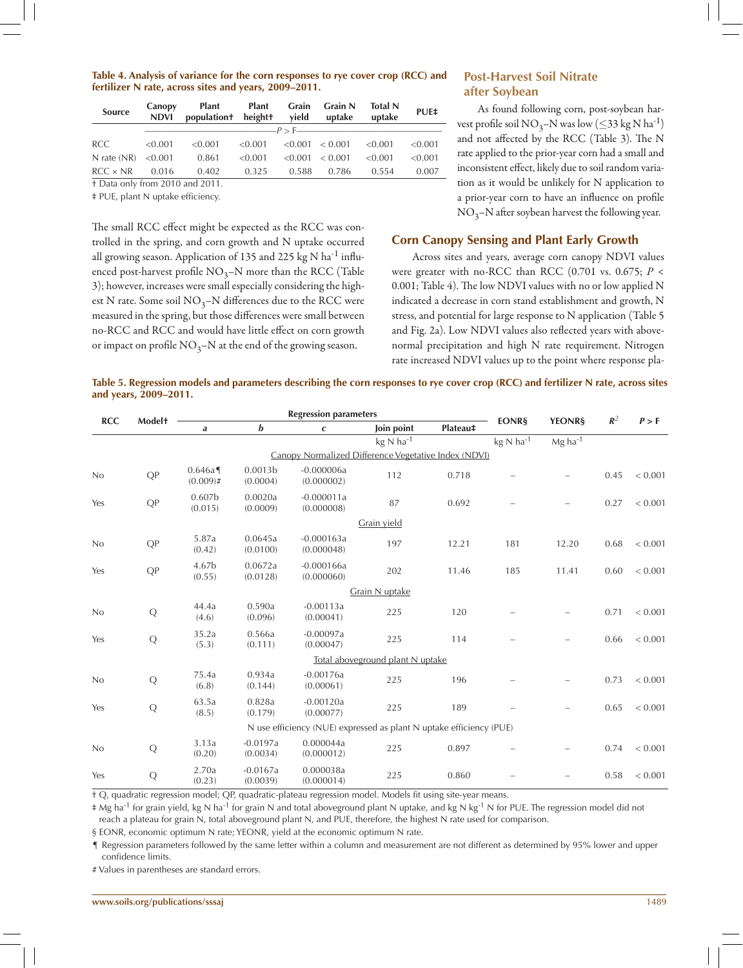#### **Table 4. Analysis of variance for the corn responses to rye cover crop (RCC) and fertilizer N rate, across sites and years, 2009–2011.**

| <b>Source</b>                   | Canopy<br><b>NDVI</b> | Plant<br>population+ height+ | <b>Plant</b> | Grain<br>vield | <b>Grain N</b><br>uptake | <b>Total N</b><br>uptake | PUE‡    |  |
|---------------------------------|-----------------------|------------------------------|--------------|----------------|--------------------------|--------------------------|---------|--|
|                                 |                       |                              |              |                |                          |                          |         |  |
| <b>RCC</b>                      | < 0.001               | < 0.001                      | < 0.001      |                | $\leq 0.001 \leq 0.001$  | < 0.001                  | < 0.001 |  |
| N rate $(NR) < 0.001$           |                       | 0.861                        | < 0.001      | < 0.001        | < 0.001                  | < 0.001                  | < 0.001 |  |
| $RCC \times NR$                 | 0.016                 | 0.402                        | 0.325        | 0.588          | 0.786                    | 0.554                    | 0.007   |  |
| + Data only from 2010 and 2011. |                       |                              |              |                |                          |                          |         |  |

‡ PUE, plant N uptake efficiency.

The small RCC effect might be expected as the RCC was controlled in the spring, and corn growth and N uptake occurred all growing season. Application of 135 and 225 kg N ha<sup>-1</sup> influenced post-harvest profile  $NO_3-N$  more than the RCC (Table 3); however, increases were small especially considering the highest N rate. Some soil  $NO_3$ –N differences due to the RCC were measured in the spring, but those differences were small between no-RCC and RCC and would have little effect on corn growth or impact on profile  $NO_3-N$  at the end of the growing season.

## **Post-Harvest Soil Nitrate after Soybean**

As found following corn, post-soybean harvest profile soil NO<sub>3</sub>–N was low ( $\leq$ 33 kg N ha<sup>-1</sup>) and not affected by the RCC (Table 3). The N rate applied to the prior-year corn had a small and inconsistent effect, likely due to soil random variation as it would be unlikely for N application to a prior-year corn to have an influence on profile  $NO<sub>3</sub>–N$  after soybean harvest the following year.

# **Corn Canopy Sensing and Plant Early Growth**

Across sites and years, average corn canopy NDVI values were greater with no-RCC than RCC (0.701 vs. 0.675; *P* < 0.001; Table 4). The low NDVI values with no or low applied N indicated a decrease in corn stand establishment and growth, N stress, and potential for large response to N application (Table 5 and Fig. 2a). Low NDVI values also reflected years with abovenormal precipitation and high N rate requirement. Nitrogen rate increased NDVI values up to the point where response pla-

#### **Table 5. Regression models and parameters describing the corn responses to rye cover crop (RCC) and fertilizer N rate, across sites and years, 2009–2011.**

| <b>RCC</b> | <b>Model</b> <sup>+</sup> | <b>Regression parameters</b>  |                                 |                                                                     |                                  |          |                                 | <b>YEONRS</b>         | $R^2$ | P > F   |
|------------|---------------------------|-------------------------------|---------------------------------|---------------------------------------------------------------------|----------------------------------|----------|---------------------------------|-----------------------|-------|---------|
|            |                           | a                             | b                               | $\mathbf{C}$                                                        | Join point                       | Plateau‡ | <b>EONRS</b>                    |                       |       |         |
|            |                           |                               |                                 |                                                                     | $kg \text{ N}$ ha <sup>-1</sup>  |          | $kg \text{ N}$ ha <sup>-1</sup> | $Mg$ ha <sup>-1</sup> |       |         |
|            |                           |                               |                                 | Canopy Normalized Difference Vegetative Index (NDVI)                |                                  |          |                                 |                       |       |         |
| No         | QP                        | 0.646a<br>$(0.009)$ #         | 0.0013 <sub>b</sub><br>(0.0004) | $-0.000006a$<br>(0.000002)                                          | 112                              | 0.718    |                                 |                       | 0.45  | < 0.001 |
| Yes        | QP                        | 0.607 <sub>b</sub><br>(0.015) | 0.0020a<br>(0.0009)             | $-0.000011a$<br>(0.000008)                                          | 87                               | 0.692    |                                 |                       | 0.27  | < 0.001 |
|            |                           |                               |                                 |                                                                     | Grain yield                      |          |                                 |                       |       |         |
| No         | QP                        | 5.87a<br>(0.42)               | 0.0645a<br>(0.0100)             | $-0.000163a$<br>(0.000048)                                          | 197                              | 12.21    | 181                             | 12.20                 | 0.68  | < 0.001 |
| Yes        | QP                        | 4.67b<br>(0.55)               | 0.0672a<br>(0.0128)             | $-0.000166a$<br>(0.000060)                                          | 202                              | 11.46    | 185                             | 11.41                 | 0.60  | < 0.001 |
|            |                           |                               |                                 |                                                                     | Grain N uptake                   |          |                                 |                       |       |         |
| No         | $\mathbf Q$               | 44.4a<br>(4.6)                | 0.590a<br>(0.096)               | $-0.00113a$<br>(0.00041)                                            | 225                              | 120      |                                 |                       | 0.71  | < 0.001 |
| Yes        | Q                         | 35.2a<br>(5.3)                | 0.566a<br>(0.111)               | $-0.00097a$<br>(0.00047)                                            | 225                              | 114      |                                 |                       | 0.66  | < 0.001 |
|            |                           |                               |                                 |                                                                     | Total aboveground plant N uptake |          |                                 |                       |       |         |
| No         | Q                         | 75.4a<br>(6.8)                | 0.934a<br>(0.144)               | $-0.00176a$<br>(0.00061)                                            | 225                              | 196      |                                 |                       | 0.73  | < 0.001 |
| Yes        | ${\bf Q}$                 | 63.5a<br>(8.5)                | 0.828a<br>(0.179)               | $-0.00120a$<br>(0.00077)                                            | 225                              | 189      |                                 |                       | 0.65  | < 0.001 |
|            |                           |                               |                                 | N use efficiency (NUE) expressed as plant N uptake efficiency (PUE) |                                  |          |                                 |                       |       |         |
| No         | Q                         | 3.13a<br>(0.20)               | $-0.0197a$<br>(0.0034)          | 0.000044a<br>(0.000012)                                             | 225                              | 0.897    |                                 |                       | 0.74  | < 0.001 |
| Yes        | Q                         | 2.70a<br>(0.23)               | $-0.0167a$<br>(0.0039)          | 0.000038a<br>(0.000014)                                             | 225                              | 0.860    |                                 |                       | 0.58  | < 0.001 |

† Q, quadratic regression model; QP, quadratic-plateau regression model. Models fit using site-year means.

‡ Mg ha-1 for grain yield, kg N ha-1 for grain N and total aboveground plant N uptake, and kg N kg-1 N for PUE. The regression model did not reach a plateau for grain N, total aboveground plant N, and PUE, therefore, the highest N rate used for comparison.

§ EONR, economic optimum N rate; YEONR, yield at the economic optimum N rate.

¶ Regression parameters followed by the same letter within a column and measurement are not different as determined by 95% lower and upper confidence limits.

# Values in parentheses are standard errors.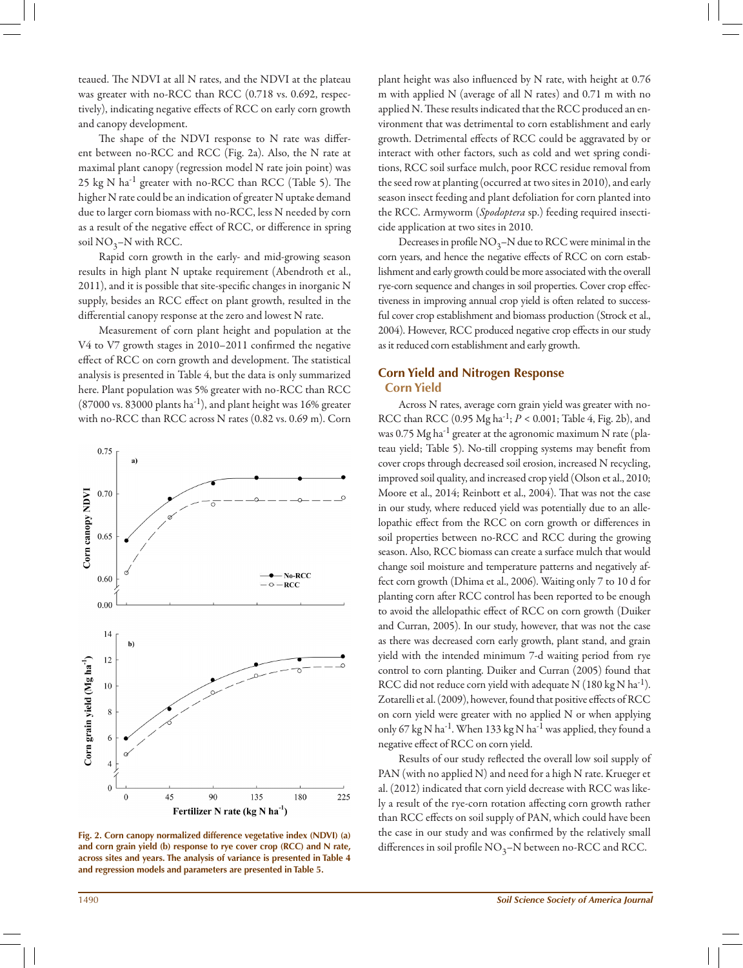teaued. The NDVI at all N rates, and the NDVI at the plateau was greater with no-RCC than RCC (0.718 vs. 0.692, respectively), indicating negative effects of RCC on early corn growth and canopy development.

The shape of the NDVI response to N rate was different between no-RCC and RCC (Fig. 2a). Also, the N rate at maximal plant canopy (regression model N rate join point) was 25 kg N ha-1 greater with no-RCC than RCC (Table 5). The higher N rate could be an indication of greater N uptake demand due to larger corn biomass with no-RCC, less N needed by corn as a result of the negative effect of RCC, or difference in spring soil  $NO_3-N$  with RCC.

Rapid corn growth in the early- and mid-growing season results in high plant N uptake requirement (Abendroth et al., 2011), and it is possible that site-specific changes in inorganic N supply, besides an RCC effect on plant growth, resulted in the differential canopy response at the zero and lowest N rate.

Measurement of corn plant height and population at the V4 to V7 growth stages in 2010–2011 confirmed the negative effect of RCC on corn growth and development. The statistical analysis is presented in Table 4, but the data is only summarized here. Plant population was 5% greater with no-RCC than RCC  $(87000 \text{ vs. } 83000 \text{ plants ha}^{-1})$ , and plant height was 16% greater with no-RCC than RCC across N rates (0.82 vs. 0.69 m). Corn



**Fig. 2. Corn canopy normalized difference vegetative index (NDVI) (a) and corn grain yield (b) response to rye cover crop (RCC) and N rate, across sites and years. The analysis of variance is presented in Table 4 and regression models and parameters are presented in Table 5.**

plant height was also influenced by N rate, with height at 0.76 m with applied N (average of all N rates) and 0.71 m with no applied N. These results indicated that the RCC produced an environment that was detrimental to corn establishment and early growth. Detrimental effects of RCC could be aggravated by or interact with other factors, such as cold and wet spring conditions, RCC soil surface mulch, poor RCC residue removal from the seed row at planting (occurred at two sites in 2010), and early season insect feeding and plant defoliation for corn planted into the RCC. Armyworm (*Spodoptera* sp.) feeding required insecticide application at two sites in 2010.

Decreases in profile  $NO_3-N$  due to RCC were minimal in the corn years, and hence the negative effects of RCC on corn establishment and early growth could be more associated with the overall rye-corn sequence and changes in soil properties. Cover crop effectiveness in improving annual crop yield is often related to successful cover crop establishment and biomass production (Strock et al., 2004). However, RCC produced negative crop effects in our study as it reduced corn establishment and early growth.

## **Corn Yield and Nitrogen Response Corn Yield**

Across N rates, average corn grain yield was greater with no-RCC than RCC (0.95 Mg ha-1; *P* < 0.001; Table 4, Fig. 2b), and was 0.75  $Mg$  ha<sup>-1</sup> greater at the agronomic maximum N rate (plateau yield; Table 5). No-till cropping systems may benefit from cover crops through decreased soil erosion, increased N recycling, improved soil quality, and increased crop yield (Olson et al., 2010; Moore et al., 2014; Reinbott et al., 2004). That was not the case in our study, where reduced yield was potentially due to an allelopathic effect from the RCC on corn growth or differences in soil properties between no-RCC and RCC during the growing season. Also, RCC biomass can create a surface mulch that would change soil moisture and temperature patterns and negatively affect corn growth (Dhima et al., 2006). Waiting only 7 to 10 d for planting corn after RCC control has been reported to be enough to avoid the allelopathic effect of RCC on corn growth (Duiker and Curran, 2005). In our study, however, that was not the case as there was decreased corn early growth, plant stand, and grain yield with the intended minimum 7-d waiting period from rye control to corn planting. Duiker and Curran (2005) found that RCC did not reduce corn yield with adequate N (180 kg N ha<sup>-1</sup>). Zotarelli et al. (2009), however, found that positive effects of RCC on corn yield were greater with no applied N or when applying only 67 kg N ha<sup>-1</sup>. When 133 kg N ha<sup>-1</sup> was applied, they found a negative effect of RCC on corn yield.

Results of our study reflected the overall low soil supply of PAN (with no applied N) and need for a high N rate. Krueger et al. (2012) indicated that corn yield decrease with RCC was likely a result of the rye-corn rotation affecting corn growth rather than RCC effects on soil supply of PAN, which could have been the case in our study and was confirmed by the relatively small differences in soil profile  $NO_3-N$  between no-RCC and RCC.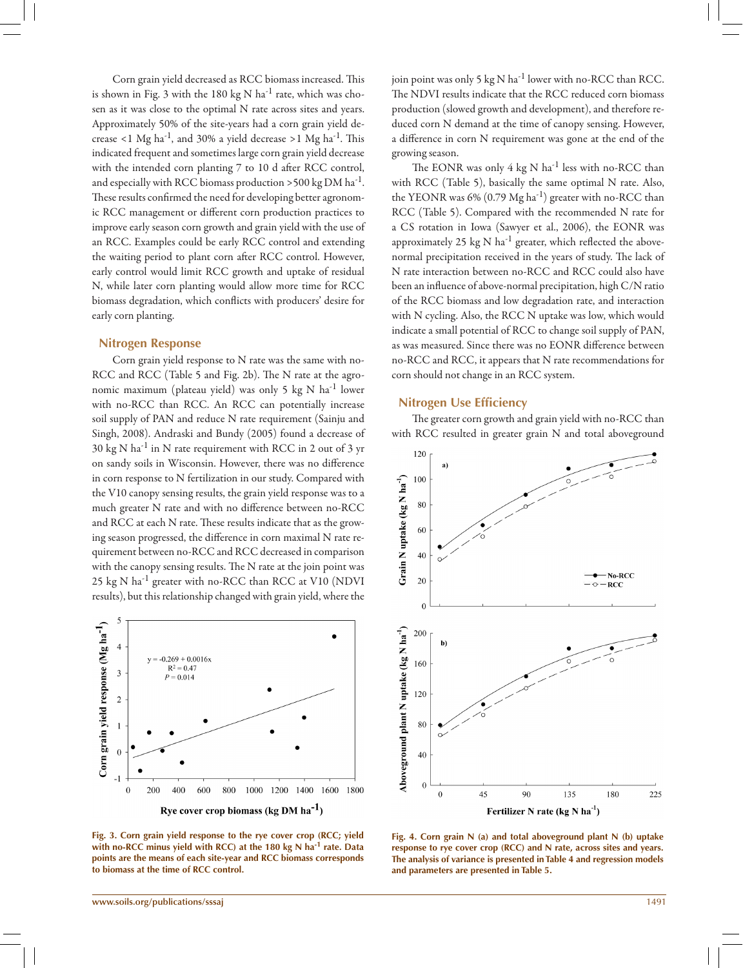Corn grain yield decreased as RCC biomass increased. This is shown in Fig. 3 with the 180 kg N  $ha^{-1}$  rate, which was chosen as it was close to the optimal N rate across sites and years. Approximately 50% of the site-years had a corn grain yield decrease <1 Mg ha<sup>-1</sup>, and 30% a yield decrease >1 Mg ha<sup>-1</sup>. This indicated frequent and sometimes large corn grain yield decrease with the intended corn planting 7 to 10 d after RCC control, and especially with RCC biomass production >500 kg DM ha<sup>-1</sup>. These results confirmed the need for developing better agronomic RCC management or different corn production practices to improve early season corn growth and grain yield with the use of an RCC. Examples could be early RCC control and extending the waiting period to plant corn after RCC control. However, early control would limit RCC growth and uptake of residual N, while later corn planting would allow more time for RCC biomass degradation, which conflicts with producers' desire for early corn planting.

#### **Nitrogen Response**

Corn grain yield response to N rate was the same with no-RCC and RCC (Table 5 and Fig. 2b). The N rate at the agronomic maximum (plateau yield) was only 5 kg N ha-1 lower with no-RCC than RCC. An RCC can potentially increase soil supply of PAN and reduce N rate requirement (Sainju and Singh, 2008). Andraski and Bundy (2005) found a decrease of 30 kg N ha<sup>-1</sup> in N rate requirement with RCC in 2 out of 3 yr on sandy soils in Wisconsin. However, there was no difference in corn response to N fertilization in our study. Compared with the V10 canopy sensing results, the grain yield response was to a much greater N rate and with no difference between no-RCC and RCC at each N rate. These results indicate that as the growing season progressed, the difference in corn maximal N rate requirement between no-RCC and RCC decreased in comparison with the canopy sensing results. The N rate at the join point was 25 kg N ha-1 greater with no-RCC than RCC at V10 (NDVI results), but this relationship changed with grain yield, where the



**Fig. 3. Corn grain yield response to the rye cover crop (RCC; yield with no-RCC minus yield with RCC) at the 180 kg N ha-1 rate. Data points are the means of each site-year and RCC biomass corresponds to biomass at the time of RCC control.**

join point was only 5 kg N ha<sup>-1</sup> lower with no-RCC than RCC. The NDVI results indicate that the RCC reduced corn biomass production (slowed growth and development), and therefore reduced corn N demand at the time of canopy sensing. However, a difference in corn N requirement was gone at the end of the growing season.

The EONR was only  $4 \text{ kg N}$  ha<sup>-1</sup> less with no-RCC than with RCC (Table 5), basically the same optimal N rate. Also, the YEONR was  $6\%$  (0.79 Mg ha<sup>-1</sup>) greater with no-RCC than RCC (Table 5). Compared with the recommended N rate for a CS rotation in Iowa (Sawyer et al., 2006), the EONR was approximately 25 kg N ha<sup>-1</sup> greater, which reflected the abovenormal precipitation received in the years of study. The lack of N rate interaction between no-RCC and RCC could also have been an influence of above-normal precipitation, high C/N ratio of the RCC biomass and low degradation rate, and interaction with N cycling. Also, the RCC N uptake was low, which would indicate a small potential of RCC to change soil supply of PAN, as was measured. Since there was no EONR difference between no-RCC and RCC, it appears that N rate recommendations for corn should not change in an RCC system.

#### **Nitrogen Use Efficiency**

The greater corn growth and grain yield with no-RCC than with RCC resulted in greater grain N and total aboveground



**Fig. 4. Corn grain N (a) and total aboveground plant N (b) uptake response to rye cover crop (RCC) and N rate, across sites and years. The analysis of variance is presented in Table 4 and regression models and parameters are presented in Table 5.**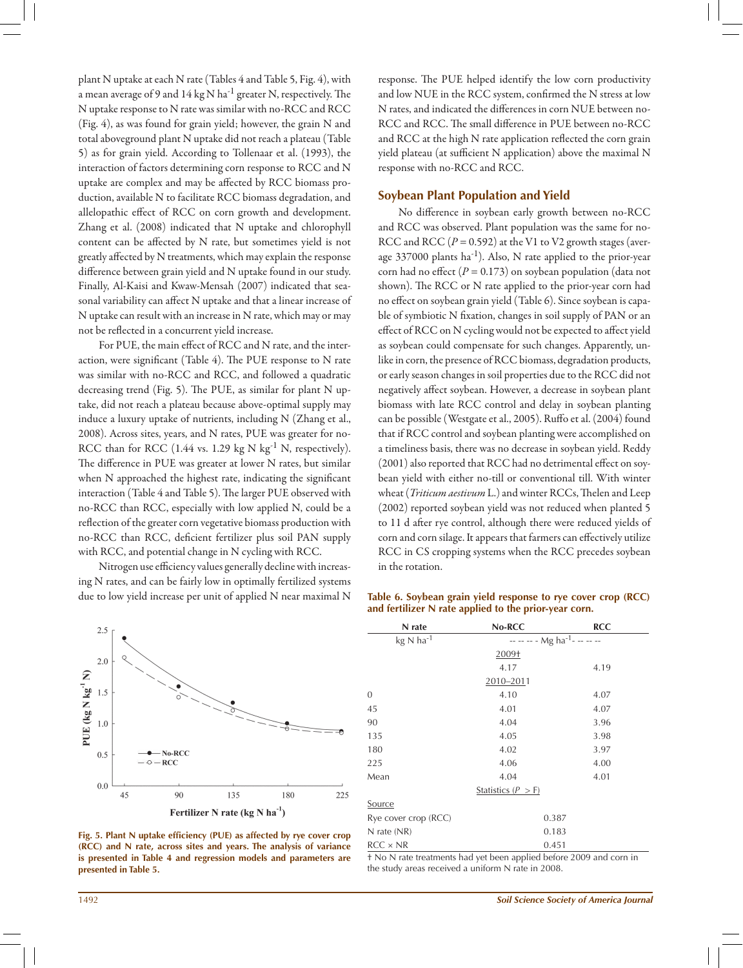plant N uptake at each N rate (Tables 4 and Table 5, Fig. 4), with a mean average of 9 and  $14 \text{ kg N}$  ha<sup>-1</sup> greater N, respectively. The N uptake response to N rate was similar with no-RCC and RCC (Fig. 4), as was found for grain yield; however, the grain N and total aboveground plant N uptake did not reach a plateau (Table 5) as for grain yield. According to Tollenaar et al. (1993), the interaction of factors determining corn response to RCC and N uptake are complex and may be affected by RCC biomass production, available N to facilitate RCC biomass degradation, and allelopathic effect of RCC on corn growth and development. Zhang et al. (2008) indicated that N uptake and chlorophyll content can be affected by N rate, but sometimes yield is not greatly affected by N treatments, which may explain the response difference between grain yield and N uptake found in our study. Finally, Al-Kaisi and Kwaw-Mensah (2007) indicated that seasonal variability can affect N uptake and that a linear increase of N uptake can result with an increase in N rate, which may or may not be reflected in a concurrent yield increase.

For PUE, the main effect of RCC and N rate, and the interaction, were significant (Table 4). The PUE response to N rate was similar with no-RCC and RCC, and followed a quadratic decreasing trend (Fig. 5). The PUE, as similar for plant N uptake, did not reach a plateau because above-optimal supply may induce a luxury uptake of nutrients, including N (Zhang et al., 2008). Across sites, years, and N rates, PUE was greater for no-RCC than for RCC (1.44 vs. 1.29 kg N kg<sup>-1</sup> N, respectively). The difference in PUE was greater at lower N rates, but similar when N approached the highest rate, indicating the significant interaction (Table 4 and Table 5). The larger PUE observed with no-RCC than RCC, especially with low applied N, could be a reflection of the greater corn vegetative biomass production with no-RCC than RCC, deficient fertilizer plus soil PAN supply with RCC, and potential change in N cycling with RCC.

Nitrogen use efficiency values generally decline with increasing N rates, and can be fairly low in optimally fertilized systems due to low yield increase per unit of applied N near maximal N



**Fig. 5. Plant N uptake efficiency (PUE) as affected by rye cover crop (RCC) and N rate, across sites and years. The analysis of variance is presented in Table 4 and regression models and parameters are presented in Table 5.**

response. The PUE helped identify the low corn productivity and low NUE in the RCC system, confirmed the N stress at low N rates, and indicated the differences in corn NUE between no-RCC and RCC. The small difference in PUE between no-RCC and RCC at the high N rate application reflected the corn grain yield plateau (at sufficient N application) above the maximal N response with no-RCC and RCC.

#### **Soybean Plant Population and Yield**

No difference in soybean early growth between no-RCC and RCC was observed. Plant population was the same for no-RCC and RCC  $(P = 0.592)$  at the V1 to V2 growth stages (average  $337000$  plants ha<sup>-1</sup>). Also, N rate applied to the prior-year corn had no effect  $(P = 0.173)$  on soybean population (data not shown). The RCC or N rate applied to the prior-year corn had no effect on soybean grain yield (Table 6). Since soybean is capable of symbiotic N fixation, changes in soil supply of PAN or an effect of RCC on N cycling would not be expected to affect yield as soybean could compensate for such changes. Apparently, unlike in corn, the presence of RCC biomass, degradation products, or early season changes in soil properties due to the RCC did not negatively affect soybean. However, a decrease in soybean plant biomass with late RCC control and delay in soybean planting can be possible (Westgate et al., 2005). Ruffo et al. (2004) found that if RCC control and soybean planting were accomplished on a timeliness basis, there was no decrease in soybean yield. Reddy (2001) also reported that RCC had no detrimental effect on soybean yield with either no-till or conventional till. With winter wheat (*Triticum aestivum* L.) and winter RCCs, Thelen and Leep (2002) reported soybean yield was not reduced when planted 5 to 11 d after rye control, although there were reduced yields of corn and corn silage. It appears that farmers can effectively utilize RCC in CS cropping systems when the RCC precedes soybean in the rotation.

**Table 6. Soybean grain yield response to rye cover crop (RCC) and fertilizer N rate applied to the prior-year corn.**

| N rate                          | No-RCC                                    | <b>RCC</b> |  |  |  |
|---------------------------------|-------------------------------------------|------------|--|--|--|
| $kg \text{ N}$ ha <sup>-1</sup> | -- -- -- - Mg ha <sup>-1</sup> - -- -- -- |            |  |  |  |
|                                 | 2009 <sub>1</sub>                         |            |  |  |  |
|                                 | 4.17                                      | 4.19       |  |  |  |
|                                 | 2010-2011                                 |            |  |  |  |
| 0                               | 4.10                                      | 4.07       |  |  |  |
| 45                              | 4.01                                      | 4.07       |  |  |  |
| 90                              | 4.04                                      | 3.96       |  |  |  |
| 135                             | 4.05                                      | 3.98       |  |  |  |
| 180                             | 4.02                                      | 3.97       |  |  |  |
| 225                             | 4.06                                      | 4.00       |  |  |  |
| Mean                            | 4.04                                      | 4.01       |  |  |  |
|                                 | Statistics $(P > F)$                      |            |  |  |  |
| <u>Source</u>                   |                                           |            |  |  |  |
| Rye cover crop (RCC)            |                                           | 0.387      |  |  |  |
| $N$ rate $(NR)$                 | 0.183                                     |            |  |  |  |
| $RCC \times NR$                 |                                           | 0.451      |  |  |  |

† No N rate treatments had yet been applied before 2009 and corn in the study areas received a uniform N rate in 2008.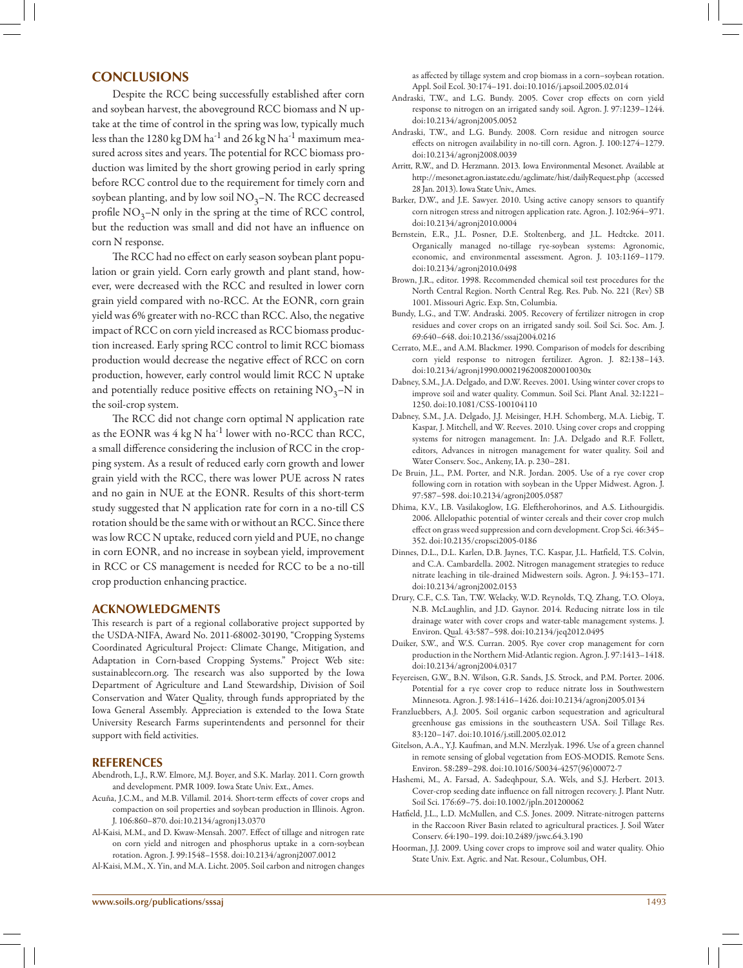## **CONCLUSIONS**

Despite the RCC being successfully established after corn and soybean harvest, the aboveground RCC biomass and N uptake at the time of control in the spring was low, typically much less than the 1280 kg DM ha<sup>-1</sup> and 26 kg N ha<sup>-1</sup> maximum measured across sites and years. The potential for RCC biomass production was limited by the short growing period in early spring before RCC control due to the requirement for timely corn and soybean planting, and by low soil  $NO<sub>3</sub>–N$ . The RCC decreased profile  $NO_3$ –N only in the spring at the time of RCC control, but the reduction was small and did not have an influence on corn N response.

The RCC had no effect on early season soybean plant population or grain yield. Corn early growth and plant stand, however, were decreased with the RCC and resulted in lower corn grain yield compared with no-RCC. At the EONR, corn grain yield was 6% greater with no-RCC than RCC. Also, the negative impact of RCC on corn yield increased as RCC biomass production increased. Early spring RCC control to limit RCC biomass production would decrease the negative effect of RCC on corn production, however, early control would limit RCC N uptake and potentially reduce positive effects on retaining  $NO<sub>3</sub>–N$  in the soil-crop system.

The RCC did not change corn optimal N application rate as the EONR was 4 kg N ha<sup>-1</sup> lower with no-RCC than RCC, a small difference considering the inclusion of RCC in the cropping system. As a result of reduced early corn growth and lower grain yield with the RCC, there was lower PUE across N rates and no gain in NUE at the EONR. Results of this short-term study suggested that N application rate for corn in a no-till CS rotation should be the same with or without an RCC. Since there was low RCC N uptake, reduced corn yield and PUE, no change in corn EONR, and no increase in soybean yield, improvement in RCC or CS management is needed for RCC to be a no-till crop production enhancing practice.

#### **ACKNOWLEDGMENTS**

This research is part of a regional collaborative project supported by the USDA-NIFA, Award No. 2011-68002-30190, "Cropping Systems Coordinated Agricultural Project: Climate Change, Mitigation, and Adaptation in Corn-based Cropping Systems." Project Web site: sustainablecorn.org. The research was also supported by the Iowa Department of Agriculture and Land Stewardship, Division of Soil Conservation and Water Quality, through funds appropriated by the Iowa General Assembly. Appreciation is extended to the Iowa State University Research Farms superintendents and personnel for their support with field activities.

#### **REFERENCES**

- Abendroth, L.J., R.W. Elmore, M.J. Boyer, and S.K. Marlay. 2011. Corn growth and development. PMR 1009. Iowa State Univ. Ext., Ames.
- Acuña, J.C.M., and M.B. Villamil. 2014. Short-term effects of cover crops and compaction on soil properties and soybean production in Illinois. Agron. J. 106:860–870. doi:10.2134/agronj13.0370
- Al-Kaisi, M.M., and D. Kwaw-Mensah. 2007. Effect of tillage and nitrogen rate on corn yield and nitrogen and phosphorus uptake in a corn-soybean rotation. Agron. J. 99:1548–1558. doi:10.2134/agronj2007.0012
- Al-Kaisi, M.M., X. Yin, and M.A. Licht. 2005. Soil carbon and nitrogen changes

as affected by tillage system and crop biomass in a corn–soybean rotation. Appl. Soil Ecol. 30:174–191. doi:10.1016/j.apsoil.2005.02.014

- Andraski, T.W., and L.G. Bundy. 2005. Cover crop effects on corn yield response to nitrogen on an irrigated sandy soil. Agron. J. 97:1239–1244. doi:10.2134/agronj2005.0052
- Andraski, T.W., and L.G. Bundy. 2008. Corn residue and nitrogen source effects on nitrogen availability in no-till corn. Agron. J. 100:1274–1279. doi:10.2134/agronj2008.0039
- Arritt, R.W., and D. Herzmann. 2013. Iowa Environmental Mesonet. Available at http://mesonet.agron.iastate.edu/agclimate/hist/dailyRequest.php (accessed 28 Jan. 2013). Iowa State Univ., Ames.
- Barker, D.W., and J.E. Sawyer. 2010. Using active canopy sensors to quantify corn nitrogen stress and nitrogen application rate. Agron. J. 102:964–971. doi:10.2134/agronj2010.0004
- Bernstein, E.R., J.L. Posner, D.E. Stoltenberg, and J.L. Hedtcke. 2011. Organically managed no-tillage rye-soybean systems: Agronomic, economic, and environmental assessment. Agron. J. 103:1169–1179. doi:10.2134/agronj2010.0498
- Brown, J.R., editor. 1998. Recommended chemical soil test procedures for the North Central Region. North Central Reg. Res. Pub. No. 221 (Rev) SB 1001. Missouri Agric. Exp. Stn, Columbia.
- Bundy, L.G., and T.W. Andraski. 2005. Recovery of fertilizer nitrogen in crop residues and cover crops on an irrigated sandy soil. Soil Sci. Soc. Am. J. 69:640–648. doi:10.2136/sssaj2004.0216
- Cerrato, M.E., and A.M. Blackmer. 1990. Comparison of models for describing corn yield response to nitrogen fertilizer. Agron. J. 82:138–143. doi:10.2134/agronj1990.00021962008200010030x
- Dabney, S.M., J.A. Delgado, and D.W. Reeves. 2001. Using winter cover crops to improve soil and water quality. Commun. Soil Sci. Plant Anal. 32:1221– 1250. doi:10.1081/CSS-100104110
- Dabney, S.M., J.A. Delgado, J.J. Meisinger, H.H. Schomberg, M.A. Liebig, T. Kaspar, J. Mitchell, and W. Reeves. 2010. Using cover crops and cropping systems for nitrogen management. In: J.A. Delgado and R.F. Follett, editors, Advances in nitrogen management for water quality. Soil and Water Conserv. Soc., Ankeny, IA. p. 230–281.
- De Bruin, J.L., P.M. Porter, and N.R. Jordan. 2005. Use of a rye cover crop following corn in rotation with soybean in the Upper Midwest. Agron. J. 97:587–598. doi:10.2134/agronj2005.0587
- Dhima, K.V., I.B. Vasilakoglow, I.G. Eleftherohorinos, and A.S. Lithourgidis. 2006. Allelopathic potential of winter cereals and their cover crop mulch effect on grass weed suppression and corn development. Crop Sci. 46:345– 352. doi:10.2135/cropsci2005-0186
- Dinnes, D.L., D.L. Karlen, D.B. Jaynes, T.C. Kaspar, J.L. Hatfield, T.S. Colvin, and C.A. Cambardella. 2002. Nitrogen management strategies to reduce nitrate leaching in tile-drained Midwestern soils. Agron. J. 94:153–171. doi:10.2134/agronj2002.0153
- Drury, C.F., C.S. Tan, T.W. Welacky, W.D. Reynolds, T.Q. Zhang, T.O. Oloya, N.B. McLaughlin, and J.D. Gaynor. 2014. Reducing nitrate loss in tile drainage water with cover crops and water-table management systems. J. Environ. Qual. 43:587–598. doi:10.2134/jeq2012.0495
- Duiker, S.W., and W.S. Curran. 2005. Rye cover crop management for corn production in the Northern Mid-Atlantic region. Agron. J. 97:1413–1418. doi:10.2134/agronj2004.0317
- Feyereisen, G.W., B.N. Wilson, G.R. Sands, J.S. Strock, and P.M. Porter. 2006. Potential for a rye cover crop to reduce nitrate loss in Southwestern Minnesota. Agron. J. 98:1416–1426. doi:10.2134/agronj2005.0134
- Franzluebbers, A.J. 2005. Soil organic carbon sequestration and agricultural greenhouse gas emissions in the southeastern USA. Soil Tillage Res. 83:120–147. doi:10.1016/j.still.2005.02.012
- Gitelson, A.A., Y.J. Kaufman, and M.N. Merzlyak. 1996. Use of a green channel in remote sensing of global vegetation from EOS-MODIS. Remote Sens. Environ. 58:289–298. doi:10.1016/S0034-4257(96)00072-7
- Hashemi, M., A. Farsad, A. Sadeqhpour, S.A. Wels, and S.J. Herbert. 2013. Cover-crop seeding date influence on fall nitrogen recovery. J. Plant Nutr. Soil Sci. 176:69–75. doi:10.1002/jpln.201200062
- Hatfield, J.L., L.D. McMullen, and C.S. Jones. 2009. Nitrate-nitrogen patterns in the Raccoon River Basin related to agricultural practices. J. Soil Water Conserv. 64:190–199. doi:10.2489/jswc.64.3.190
- Hoorman, J.J. 2009. Using cover crops to improve soil and water quality. Ohio State Univ. Ext. Agric. and Nat. Resour., Columbus, OH.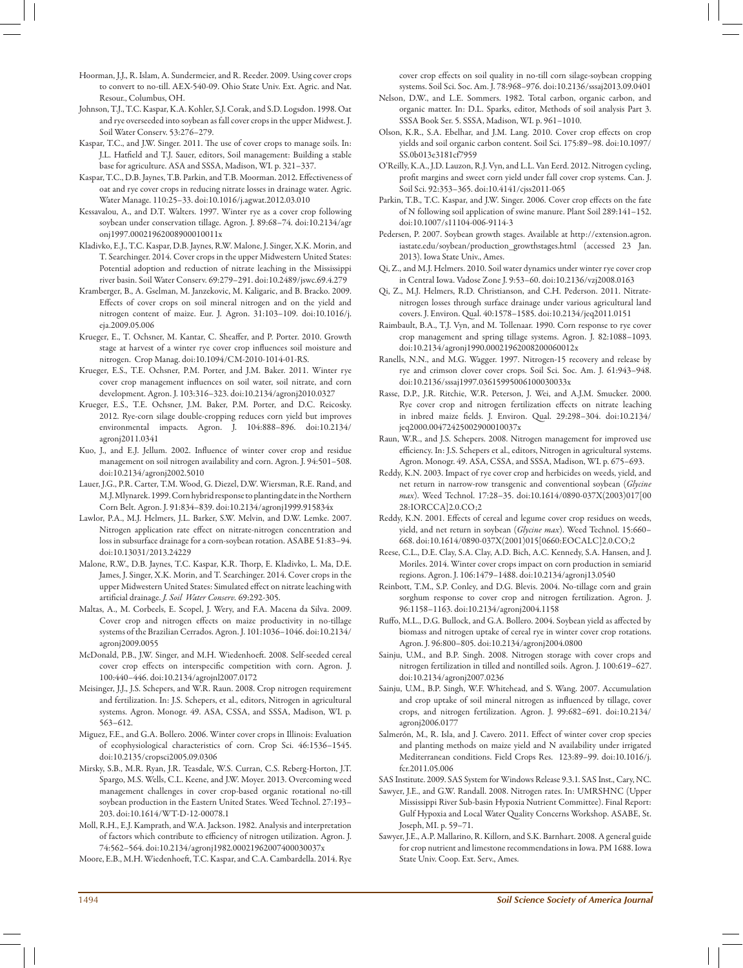- Hoorman, J.J., R. Islam, A. Sundermeier, and R. Reeder. 2009. Using cover crops to convert to no-till. AEX-540-09. Ohio State Univ. Ext. Agric. and Nat. Resour., Columbus, OH.
- Johnson, T.J., T.C. Kaspar, K.A. Kohler, S.J. Corak, and S.D. Logsdon. 1998. Oat and rye overseeded into soybean as fall cover crops in the upper Midwest. J. Soil Water Conserv. 53:276–279.
- Kaspar, T.C., and J.W. Singer. 2011. The use of cover crops to manage soils. In: J.L. Hatfield and T.J. Sauer, editors, Soil management: Building a stable base for agriculture. ASA and SSSA, Madison, WI. p. 321–337.
- Kaspar, T.C., D.B. Jaynes, T.B. Parkin, and T.B. Moorman. 2012. Effectiveness of oat and rye cover crops in reducing nitrate losses in drainage water. Agric. Water Manage. 110:25–33. doi:10.1016/j.agwat.2012.03.010
- Kessavalou, A., and D.T. Walters. 1997. Winter rye as a cover crop following soybean under conservation tillage. Agron. J. 89:68–74. doi:10.2134/agr onj1997.00021962008900010011x
- Kladivko, E.J., T.C. Kaspar, D.B. Jaynes, R.W. Malone, J. Singer, X.K. Morin, and T. Searchinger. 2014. Cover crops in the upper Midwestern United States: Potential adoption and reduction of nitrate leaching in the Mississippi river basin. Soil Water Conserv. 69:279–291. doi:10.2489/jswc.69.4.279
- Kramberger, B., A. Gselman, M. Janzekovic, M. Kaligaric, and B. Bracko. 2009. Effects of cover crops on soil mineral nitrogen and on the yield and nitrogen content of maize. Eur. J. Agron. 31:103–109. doi:10.1016/j. eja.2009.05.006
- Krueger, E., T. Ochsner, M. Kantar, C. Sheaffer, and P. Porter. 2010. Growth stage at harvest of a winter rye cover crop influences soil moisture and nitrogen. Crop Manag. doi:10.1094/CM-2010-1014-01-RS.
- Krueger, E.S., T.E. Ochsner, P.M. Porter, and J.M. Baker. 2011. Winter rye cover crop management influences on soil water, soil nitrate, and corn development. Agron. J. 103:316–323. doi:10.2134/agronj2010.0327
- Krueger, E.S., T.E. Ochsner, J.M. Baker, P.M. Porter, and D.C. Reicosky. 2012. Rye-corn silage double-cropping reduces corn yield but improves environmental impacts. Agron. J. 104:888–896. doi:10.2134/ agronj2011.0341
- Kuo, J., and E.J. Jellum. 2002. Influence of winter cover crop and residue management on soil nitrogen availability and corn. Agron. J. 94:501–508. doi:10.2134/agronj2002.5010
- Lauer, J.G., P.R. Carter, T.M. Wood, G. Diezel, D.W. Wiersman, R.E. Rand, and M.J. Mlynarek. 1999. Corn hybrid response to planting date in the Northern Corn Belt. Agron. J. 91:834–839. doi:10.2134/agronj1999.915834x
- Lawlor, P.A., M.J. Helmers, J.L. Barker, S.W. Melvin, and D.W. Lemke. 2007. Nitrogen application rate effect on nitrate-nitrogen concentration and loss in subsurface drainage for a corn-soybean rotation. ASABE 51:83–94. doi:10.13031/2013.24229
- Malone, R.W., D.B. Jaynes, T.C. Kaspar, K.R. Thorp, E. Kladivko, L. Ma, D.E. James, J. Singer, X.K. Morin, and T. Searchinger. 2014. Cover crops in the upper Midwestern United States: Simulated effect on nitrate leaching with artificial drainage. *J. Soil Water Conserv.* 69:292-305.
- Maltas, A., M. Corbeels, E. Scopel, J. Wery, and F.A. Macena da Silva. 2009. Cover crop and nitrogen effects on maize productivity in no-tillage systems of the Brazilian Cerrados. Agron. J. 101:1036–1046. doi:10.2134/ agronj2009.0055
- McDonald, P.B., J.W. Singer, and M.H. Wiedenhoeft. 2008. Self-seeded cereal cover crop effects on interspecific competition with corn. Agron. J. 100:440–446. doi:10.2134/agrojnl2007.0172
- Meisinger, J.J., J.S. Schepers, and W.R. Raun. 2008. Crop nitrogen requirement and fertilization. In: J.S. Schepers, et al., editors, Nitrogen in agricultural systems. Agron. Monogr. 49. ASA, CSSA, and SSSA, Madison, WI. p. 563–612.
- Miguez, F.E., and G.A. Bollero. 2006. Winter cover crops in Illinois: Evaluation of ecophysiological characteristics of corn. Crop Sci. 46:1536–1545. doi:10.2135/cropsci2005.09.0306
- Mirsky, S.B., M.R. Ryan, J.R. Teasdale, W.S. Curran, C.S. Reberg-Horton, J.T. Spargo, M.S. Wells, C.L. Keene, and J.W. Moyer. 2013. Overcoming weed management challenges in cover crop-based organic rotational no-till soybean production in the Eastern United States. Weed Technol. 27:193– 203. doi:10.1614/WT-D-12-00078.1
- Moll, R.H., E.J. Kamprath, and W.A. Jackson. 1982. Analysis and interpretation of factors which contribute to efficiency of nitrogen utilization. Agron. J. 74:562–564. doi:10.2134/agronj1982.00021962007400030037x

Moore, E.B., M.H. Wiedenhoeft, T.C. Kaspar, and C.A. Cambardella. 2014. Rye

cover crop effects on soil quality in no-till corn silage-soybean cropping systems. Soil Sci. Soc. Am. J. 78:968–976. doi:10.2136/sssaj2013.09.0401

- Nelson, D.W., and L.E. Sommers. 1982. Total carbon, organic carbon, and organic matter. In: D.L. Sparks, editor, Methods of soil analysis Part 3. SSSA Book Ser. 5. SSSA, Madison, WI. p. 961–1010.
- Olson, K.R., S.A. Ebelhar, and J.M. Lang. 2010. Cover crop effects on crop yields and soil organic carbon content. Soil Sci. 175:89–98. doi:10.1097/ SS.0b013e3181cf7959
- O'Reilly, K.A., J.D. Lauzon, R.J. Vyn, and L.L. Van Eerd. 2012. Nitrogen cycling, profit margins and sweet corn yield under fall cover crop systems. Can. J. Soil Sci. 92:353–365. doi:10.4141/cjss2011-065
- Parkin, T.B., T.C. Kaspar, and J.W. Singer. 2006. Cover crop effects on the fate of N following soil application of swine manure. Plant Soil 289:141–152. doi:10.1007/s11104-006-9114-3
- Pedersen, P. 2007. Soybean growth stages. Available at http://extension.agron. iastate.edu/soybean/production\_growthstages.html (accessed 23 Jan. 2013). Iowa State Univ., Ames.
- Qi, Z., and M.J. Helmers. 2010. Soil water dynamics under winter rye cover crop in Central Iowa. Vadose Zone J. 9:53–60. doi:10.2136/vzj2008.0163
- Qi, Z., M.J. Helmers, R.D. Christianson, and C.H. Pederson. 2011. Nitratenitrogen losses through surface drainage under various agricultural land covers. J. Environ. Qual. 40:1578–1585. doi:10.2134/jeq2011.0151
- Raimbault, B.A., T.J. Vyn, and M. Tollenaar. 1990. Corn response to rye cover crop management and spring tillage systems. Agron. J. 82:1088–1093. doi:10.2134/agronj1990.00021962008200060012x
- Ranells, N.N., and M.G. Wagger. 1997. Nitrogen-15 recovery and release by rye and crimson clover cover crops. Soil Sci. Soc. Am. J. 61:943–948. doi:10.2136/sssaj1997.03615995006100030033x
- Rasse, D.P., J.R. Ritchie, W.R. Peterson, J. Wei, and A.J.M. Smucker. 2000. Rye cover crop and nitrogen fertilization effects on nitrate leaching in inbred maize fields. J. Environ. Qual. 29:298–304. doi:10.2134/ jeq2000.00472425002900010037x
- Raun, W.R., and J.S. Schepers. 2008. Nitrogen management for improved use efficiency. In: J.S. Schepers et al., editors, Nitrogen in agricultural systems. Agron. Monogr. 49. ASA, CSSA, and SSSA, Madison, WI. p. 675–693.
- Reddy, K.N. 2003. Impact of rye cover crop and herbicides on weeds, yield, and net return in narrow-row transgenic and conventional soybean (*Glycine max*). Weed Technol. 17:28–35. doi:10.1614/0890-037X(2003)017[00 28:IORCCA]2.0.CO;2
- Reddy, K.N. 2001. Effects of cereal and legume cover crop residues on weeds, yield, and net return in soybean (*Glycine max*). Weed Technol. 15:660– 668. doi:10.1614/0890-037X(2001)015[0660:EOCALC]2.0.CO;2
- Reese, C.L., D.E. Clay, S.A. Clay, A.D. Bich, A.C. Kennedy, S.A. Hansen, and J. Moriles. 2014. Winter cover crops impact on corn production in semiarid regions. Agron. J. 106:1479–1488. doi:10.2134/agronj13.0540
- Reinbott, T.M., S.P. Conley, and D.G. Blevis. 2004. No-tillage corn and grain sorghum response to cover crop and nitrogen fertilization. Agron. J. 96:1158–1163. doi:10.2134/agronj2004.1158
- Ruffo, M.L., D.G. Bullock, and G.A. Bollero. 2004. Soybean yield as affected by biomass and nitrogen uptake of cereal rye in winter cover crop rotations. Agron. J. 96:800–805. doi:10.2134/agronj2004.0800
- Sainju, U.M., and B.P. Singh. 2008. Nitrogen storage with cover crops and nitrogen fertilization in tilled and nontilled soils. Agron. J. 100:619–627. doi:10.2134/agronj2007.0236
- Sainju, U.M., B.P. Singh, W.F. Whitehead, and S. Wang. 2007. Accumulation and crop uptake of soil mineral nitrogen as influenced by tillage, cover crops, and nitrogen fertilization. Agron. J. 99:682–691. doi:10.2134/ agronj2006.0177
- Salmerón, M., R. Isla, and J. Cavero. 2011. Effect of winter cover crop species and planting methods on maize yield and N availability under irrigated Mediterranean conditions. Field Crops Res. 123:89–99. doi:10.1016/j. fcr.2011.05.006

SAS Institute. 2009. SAS System for Windows Release 9.3.1. SAS Inst., Cary, NC.

- Sawyer, J.E., and G.W. Randall. 2008. Nitrogen rates. In: UMRSHNC (Upper Mississippi River Sub-basin Hypoxia Nutrient Committee). Final Report: Gulf Hypoxia and Local Water Quality Concerns Workshop. ASABE, St. Joseph, MI. p. 59–71.
- Sawyer, J.E., A.P. Mallarino, R. Killorn, and S.K. Barnhart. 2008. A general guide for crop nutrient and limestone recommendations in Iowa. PM 1688. Iowa State Univ. Coop. Ext. Serv., Ames.